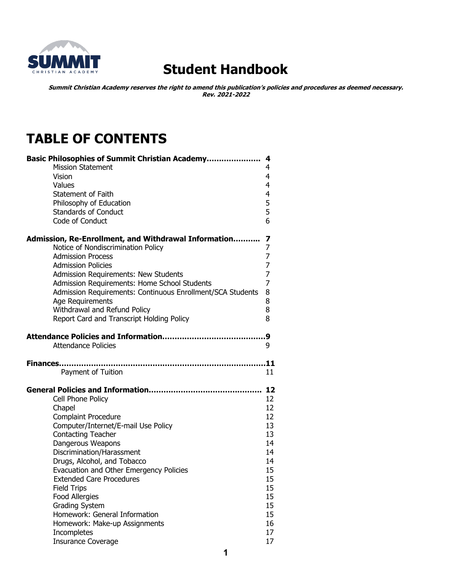

# **Student Handbook**

**Summit Christian Academy reserves the right to amend this publication's policies and procedures as deemed necessary. Rev. 2021-2022**

# **TABLE OF CONTENTS**

| <b>Basic Philosophies of Summit Christian Academy</b>      | 4              |
|------------------------------------------------------------|----------------|
| <b>Mission Statement</b>                                   | 4              |
| Vision                                                     | 4              |
| Values                                                     | 4              |
| <b>Statement of Faith</b>                                  | 4              |
| Philosophy of Education                                    | 5              |
| <b>Standards of Conduct</b>                                | 5              |
| Code of Conduct                                            | 6              |
| Admission, Re-Enrollment, and Withdrawal Information       | 7              |
| Notice of Nondiscrimination Policy                         | 7              |
| <b>Admission Process</b>                                   | 7              |
| <b>Admission Policies</b>                                  | 7              |
| Admission Requirements: New Students                       | $\overline{7}$ |
| Admission Requirements: Home School Students               | 7              |
| Admission Requirements: Continuous Enrollment/SCA Students | 8              |
| Age Requirements                                           | 8              |
| Withdrawal and Refund Policy                               | 8              |
| Report Card and Transcript Holding Policy                  | 8              |
|                                                            | 9              |
| <b>Attendance Policies</b>                                 | 9              |
|                                                            |                |
|                                                            |                |
| <b>Finances</b>                                            | .11            |
| Payment of Tuition                                         | 11             |
|                                                            | 12             |
| Cell Phone Policy                                          | 12             |
| Chapel                                                     | 12             |
| <b>Complaint Procedure</b>                                 | 12             |
| Computer/Internet/E-mail Use Policy                        | 13             |
| <b>Contacting Teacher</b>                                  | 13             |
| Dangerous Weapons                                          | 14             |
| Discrimination/Harassment                                  | 14             |
| Drugs, Alcohol, and Tobacco                                | 14             |
| Evacuation and Other Emergency Policies                    | 15             |
| <b>Extended Care Procedures</b>                            | 15             |
| <b>Field Trips</b>                                         | 15             |
| Food Allergies                                             | 15             |
| <b>Grading System</b>                                      | 15             |
| Homework: General Information                              | 15             |
| Homework: Make-up Assignments<br>Incompletes               | 16<br>17       |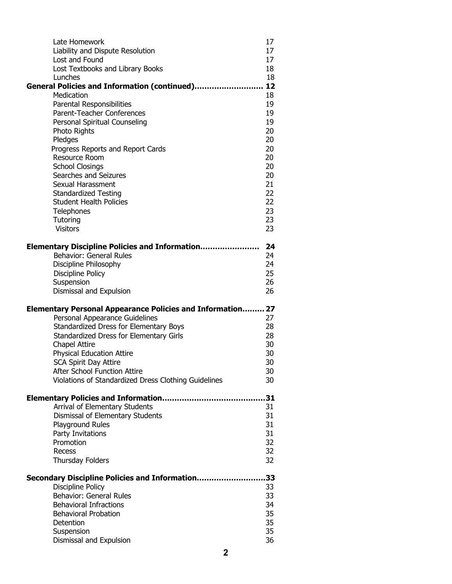| Late Homework<br>Liability and Dispute Resolution                                        | 17<br>17 |
|------------------------------------------------------------------------------------------|----------|
| Lost and Found                                                                           | 17       |
| Lost Textbooks and Library Books                                                         | 18       |
| Lunches                                                                                  | 18       |
| General Policies and Information (continued)                                             | 12       |
| Medication<br>Parental Responsibilities                                                  | 18<br>19 |
| Parent-Teacher Conferences                                                               | 19       |
| Personal Spiritual Counseling                                                            | 19       |
| Photo Rights                                                                             | 20       |
| Pledges                                                                                  | 20       |
| Progress Reports and Report Cards                                                        | 20       |
| Resource Room                                                                            | 20       |
| <b>School Closings</b><br>Searches and Seizures                                          | 20<br>20 |
| Sexual Harassment                                                                        | 21       |
| <b>Standardized Testing</b>                                                              | 22       |
| <b>Student Health Policies</b>                                                           | 22       |
| Telephones                                                                               | 23       |
| Tutoring                                                                                 | 23       |
| <b>Visitors</b>                                                                          | 23       |
| <b>Elementary Discipline Policies and Information</b>                                    | 24       |
| Behavior: General Rules                                                                  | 24       |
| Discipline Philosophy                                                                    | 24       |
| Discipline Policy                                                                        | 25       |
| Suspension                                                                               | 26       |
| Dismissal and Expulsion                                                                  | 26       |
| <b>Elementary Personal Appearance Policies and Information 27</b>                        |          |
|                                                                                          |          |
|                                                                                          |          |
| Personal Appearance Guidelines                                                           | 27<br>28 |
| Standardized Dress for Elementary Boys<br><b>Standardized Dress for Elementary Girls</b> | 28       |
| <b>Chapel Attire</b>                                                                     | 30       |
| <b>Physical Education Attire</b>                                                         | 30       |
| <b>SCA Spirit Day Attire</b>                                                             | 30       |
| <b>After School Function Attire</b>                                                      | 30       |
| Violations of Standardized Dress Clothing Guidelines                                     | 30       |
|                                                                                          | 31       |
| Arrival of Elementary Students                                                           | 31       |
| Dismissal of Elementary Students                                                         | 31       |
| Playground Rules                                                                         | 31       |
| Party Invitations                                                                        | 31       |
| Promotion                                                                                | 32       |
| Recess                                                                                   | 32<br>32 |
| Thursday Folders                                                                         |          |
| Secondary Discipline Policies and Information                                            | 33       |
| Discipline Policy                                                                        | 33       |
| Behavior: General Rules                                                                  | 33       |
| <b>Behavioral Infractions</b>                                                            | 34       |
| <b>Behavioral Probation</b>                                                              | 35       |
| Detention<br>Suspension                                                                  | 35<br>35 |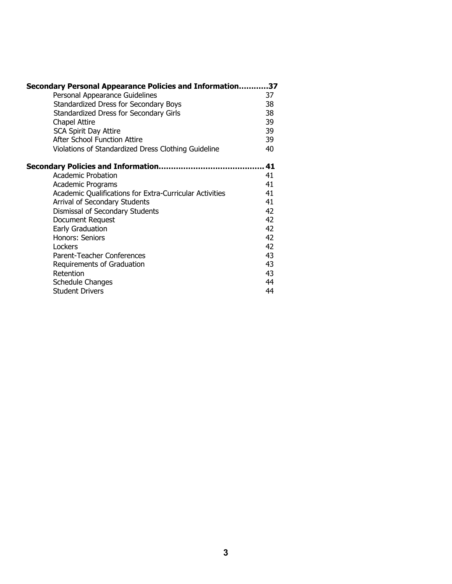| Secondary Personal Appearance Policies and Information37 |    |
|----------------------------------------------------------|----|
| Personal Appearance Guidelines                           | 37 |
| Standardized Dress for Secondary Boys                    | 38 |
| Standardized Dress for Secondary Girls                   | 38 |
| <b>Chapel Attire</b>                                     | 39 |
| <b>SCA Spirit Day Attire</b>                             | 39 |
| <b>After School Function Attire</b>                      | 39 |
| Violations of Standardized Dress Clothing Guideline      | 40 |
| Secondary Policies and Information                       | 41 |
| <b>Academic Probation</b>                                | 41 |
| Academic Programs                                        | 41 |
| Academic Qualifications for Extra-Curricular Activities  | 41 |
| Arrival of Secondary Students                            | 41 |
| Dismissal of Secondary Students                          | 42 |
| Document Request                                         | 42 |
| Early Graduation                                         | 42 |
| Honors: Seniors                                          | 42 |
| Lockers                                                  | 42 |
| Parent-Teacher Conferences                               | 43 |
| Requirements of Graduation                               | 43 |
| Retention                                                | 43 |
| Schedule Changes                                         | 44 |
| <b>Student Drivers</b>                                   | 44 |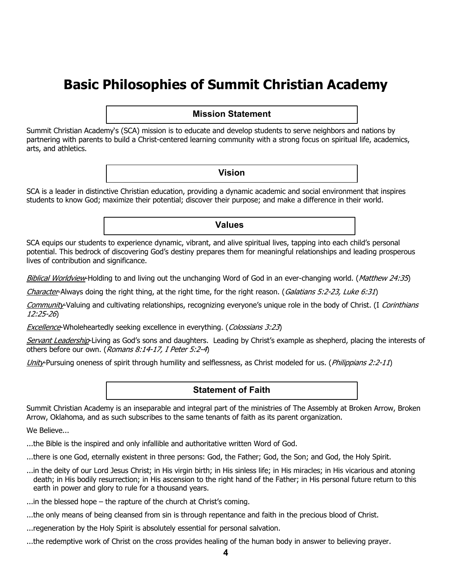# **Basic Philosophies of Summit Christian Academy**

## **Mission Statement**

Summit Christian Academy's (SCA) mission is to educate and develop students to serve neighbors and nations by partnering with parents to build a Christ-centered learning community with a strong focus on spiritual life, academics, arts, and athletics.

#### **Vision**

**Values**

SCA is a leader in distinctive Christian education, providing a dynamic academic and social environment that inspires students to know God; maximize their potential; discover their purpose; and make a difference in their world.

SCA equips our students to experience dynamic, vibrant, and alive spiritual lives, tapping into each child's personal potential. This bedrock of discovering God's destiny prepares them for meaningful relationships and leading prosperous lives of contribution and significance.

Biblical Worldview-Holding to and living out the unchanging Word of God in an ever-changing world. (Matthew 24:35)

Character-Always doing the right thing, at the right time, for the right reason. (Galatians 5:2-23, Luke 6:31)

Community-Valuing and cultivating relationships, recognizing everyone's unique role in the body of Christ. (I Corinthians 12:25-26)

**Excellence-Wholeheartedly seeking excellence in everything.** (Colossians 3:23)

Servant Leadership-Living as God's sons and daughters. Leading by Christ's example as shepherd, placing the interests of others before our own. (Romans 8:14-17, I Peter 5:2-4)

Unity-Pursuing oneness of spirit through humility and selflessness, as Christ modeled for us. (*Philippians 2:2-11*)

### **Statement of Faith**

Summit Christian Academy is an inseparable and integral part of the ministries of The Assembly at Broken Arrow, Broken Arrow, Oklahoma, and as such subscribes to the same tenants of faith as its parent organization.

We Believe...

- ...the Bible is the inspired and only infallible and authoritative written Word of God.
- ...there is one God, eternally existent in three persons: God, the Father; God, the Son; and God, the Holy Spirit.
- ...in the deity of our Lord Jesus Christ; in His virgin birth; in His sinless life; in His miracles; in His vicarious and atoning death; in His bodily resurrection; in His ascension to the right hand of the Father; in His personal future return to this earth in power and glory to rule for a thousand years.
- ...in the blessed hope the rapture of the church at Christ's coming.
- ...the only means of being cleansed from sin is through repentance and faith in the precious blood of Christ.
- ...regeneration by the Holy Spirit is absolutely essential for personal salvation.
- ...the redemptive work of Christ on the cross provides healing of the human body in answer to believing prayer.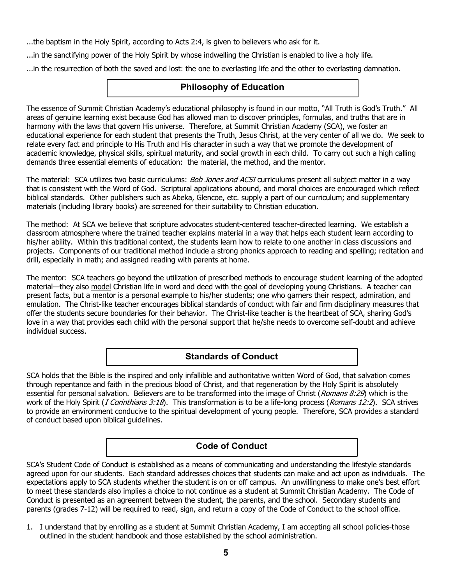...the baptism in the Holy Spirit, according to Acts 2:4, is given to believers who ask for it.

...in the sanctifying power of the Holy Spirit by whose indwelling the Christian is enabled to live a holy life.

...in the resurrection of both the saved and lost: the one to everlasting life and the other to everlasting damnation.

## **Philosophy of Education**

The essence of Summit Christian Academy's educational philosophy is found in our motto, "All Truth is God's Truth." All areas of genuine learning exist because God has allowed man to discover principles, formulas, and truths that are in harmony with the laws that govern His universe. Therefore, at Summit Christian Academy (SCA), we foster an educational experience for each student that presents the Truth, Jesus Christ, at the very center of all we do. We seek to relate every fact and principle to His Truth and His character in such a way that we promote the development of academic knowledge, physical skills, spiritual maturity, and social growth in each child. To carry out such a high calling demands three essential elements of education: the material, the method, and the mentor.

The material: SCA utilizes two basic curriculums: Bob Jones and ACSI curriculums present all subject matter in a way that is consistent with the Word of God. Scriptural applications abound, and moral choices are encouraged which reflect biblical standards. Other publishers such as Abeka, Glencoe, etc. supply a part of our curriculum; and supplementary materials (including library books) are screened for their suitability to Christian education.

The method: At SCA we believe that scripture advocates student-centered teacher-directed learning. We establish a classroom atmosphere where the trained teacher explains material in a way that helps each student learn according to his/her ability. Within this traditional context, the students learn how to relate to one another in class discussions and projects. Components of our traditional method include a strong phonics approach to reading and spelling; recitation and drill, especially in math; and assigned reading with parents at home.

The mentor: SCA teachers go beyond the utilization of prescribed methods to encourage student learning of the adopted material—they also model Christian life in word and deed with the goal of developing young Christians. A teacher can present facts, but a mentor is a personal example to his/her students; one who garners their respect, admiration, and emulation. The Christ-like teacher encourages biblical standards of conduct with fair and firm disciplinary measures that offer the students secure boundaries for their behavior. The Christ-like teacher is the heartbeat of SCA, sharing God's love in a way that provides each child with the personal support that he/she needs to overcome self-doubt and achieve individual success.

## **Standards of Conduct**

SCA holds that the Bible is the inspired and only infallible and authoritative written Word of God, that salvation comes through repentance and faith in the precious blood of Christ, and that regeneration by the Holy Spirit is absolutely essential for personal salvation. Believers are to be transformed into the image of Christ (Romans 8:29) which is the work of the Holy Spirit (*I Corinthians 3:18*). This transformation is to be a life-long process (*Romans 12:2*). SCA strives to provide an environment conducive to the spiritual development of young people. Therefore, SCA provides a standard of conduct based upon biblical guidelines.

## **Code of Conduct**

SCA's Student Code of Conduct is established as a means of communicating and understanding the lifestyle standards agreed upon for our students. Each standard addresses choices that students can make and act upon as individuals. The expectations apply to SCA students whether the student is on or off campus. An unwillingness to make one's best effort to meet these standards also implies a choice to not continue as a student at Summit Christian Academy. The Code of Conduct is presented as an agreement between the student, the parents, and the school. Secondary students and parents (grades 7-12) will be required to read, sign, and return a copy of the Code of Conduct to the school office.

1. I understand that by enrolling as a student at Summit Christian Academy, I am accepting all school policies-those outlined in the student handbook and those established by the school administration.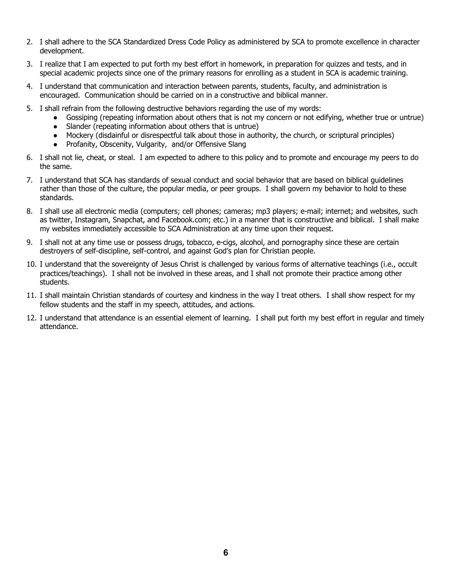- 2. I shall adhere to the SCA Standardized Dress Code Policy as administered by SCA to promote excellence in character development.
- 3. I realize that I am expected to put forth my best effort in homework, in preparation for quizzes and tests, and in special academic projects since one of the primary reasons for enrolling as a student in SCA is academic training.
- 4. I understand that communication and interaction between parents, students, faculty, and administration is encouraged. Communication should be carried on in a constructive and biblical manner.
- 5. I shall refrain from the following destructive behaviors regarding the use of my words:
	- Gossiping (repeating information about others that is not my concern or not edifying, whether true or untrue)
	- Slander (repeating information about others that is untrue)
	- Mockery (disdainful or disrespectful talk about those in authority, the church, or scriptural principles)
	- Profanity, Obscenity, Vulgarity, and/or Offensive Slang
- 6. I shall not lie, cheat, or steal. I am expected to adhere to this policy and to promote and encourage my peers to do the same.
- 7. I understand that SCA has standards of sexual conduct and social behavior that are based on biblical guidelines rather than those of the culture, the popular media, or peer groups. I shall govern my behavior to hold to these standards.
- 8. I shall use all electronic media (computers; cell phones; cameras; mp3 players; e-mail; internet; and websites, such as twitter, Instagram, Snapchat, and Facebook.com; etc.) in a manner that is constructive and biblical. I shall make my websites immediately accessible to SCA Administration at any time upon their request.
- 9. I shall not at any time use or possess drugs, tobacco, e-cigs, alcohol, and pornography since these are certain destroyers of self-discipline, self-control, and against God's plan for Christian people.
- 10. I understand that the sovereignty of Jesus Christ is challenged by various forms of alternative teachings (i.e., occult practices/teachings). I shall not be involved in these areas, and I shall not promote their practice among other students.
- 11. I shall maintain Christian standards of courtesy and kindness in the way I treat others. I shall show respect for my fellow students and the staff in my speech, attitudes, and actions.
- 12. I understand that attendance is an essential element of learning. I shall put forth my best effort in regular and timely attendance.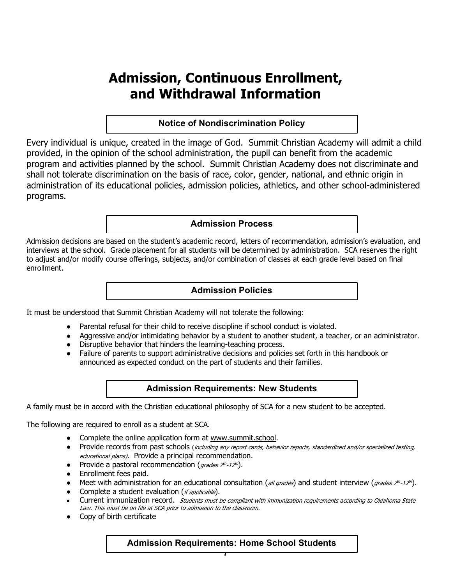# **Admission, Continuous Enrollment, and Withdrawal Information**

## **Notice of Nondiscrimination Policy**

Every individual is unique, created in the image of God. Summit Christian Academy will admit a child provided, in the opinion of the school administration, the pupil can benefit from the academic program and activities planned by the school. Summit Christian Academy does not discriminate and shall not tolerate discrimination on the basis of race, color, gender, national, and ethnic origin in administration of its educational policies, admission policies, athletics, and other school-administered programs.

## **Admission Process**

Admission decisions are based on the student's academic record, letters of recommendation, admission's evaluation, and interviews at the school. Grade placement for all students will be determined by administration. SCA reserves the right to adjust and/or modify course offerings, subjects, and/or combination of classes at each grade level based on final enrollment.

## **Admission Policies**

It must be understood that Summit Christian Academy will not tolerate the following:

- Parental refusal for their child to receive discipline if school conduct is violated.
- Aggressive and/or intimidating behavior by a student to another student, a teacher, or an administrator.
- Disruptive behavior that hinders the learning-teaching process.
- Failure of parents to support administrative decisions and policies set forth in this handbook or announced as expected conduct on the part of students and their families.

## **Admission Requirements: New Students**

A family must be in accord with the Christian educational philosophy of SCA for a new student to be accepted.

The following are required to enroll as a student at SCA.

- Complete the online application form at www.summit.school.
- Provide records from past schools (including any report cards, behavior reports, standardized and/or specialized testing, educational plans). Provide a principal recommendation.
- Provide a pastoral recommendation (grades  $7<sup>th</sup> 12<sup>th</sup>$ ).
- Enrollment fees paid.
- Meet with administration for an educational consultation (all grades) and student interview (grades  $\not\equiv$  -12<sup>th</sup>).
- Complete a student evaluation (*if applicable*).
- Current immunization record. Students must be compliant with immunization requirements according to Oklahoma State Law. This must be on file at SCA prior to admission to the classroom.
- Copy of birth certificate

**Admission Requirements: Home School Students**

**7**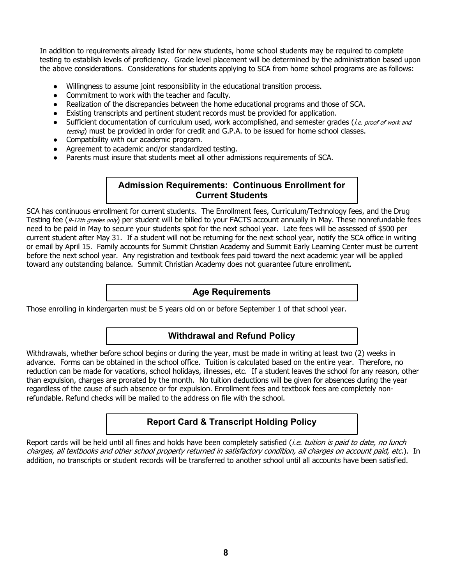In addition to requirements already listed for new students, home school students may be required to complete testing to establish levels of proficiency. Grade level placement will be determined by the administration based upon the above considerations. Considerations for students applying to SCA from home school programs are as follows:

- Willingness to assume joint responsibility in the educational transition process.
- Commitment to work with the teacher and faculty.
- Realization of the discrepancies between the home educational programs and those of SCA.
- Existing transcripts and pertinent student records must be provided for application.
- Sufficient documentation of curriculum used, work accomplished, and semester grades (i.e. proof of work and testing) must be provided in order for credit and G.P.A. to be issued for home school classes.
- Compatibility with our academic program.
- Agreement to academic and/or standardized testing.
- Parents must insure that students meet all other admissions requirements of SCA.

# **Admission Requirements: Continuous Enrollment for Current Students**

SCA has continuous enrollment for current students. The Enrollment fees, Curriculum/Technology fees, and the Drug Testing fee (9-12th grades only) per student will be billed to your FACTS account annually in May. These nonrefundable fees need to be paid in May to secure your students spot for the next school year. Late fees will be assessed of \$500 per current student after May 31. If a student will not be returning for the next school year, notify the SCA office in writing or email by April 15. Family accounts for Summit Christian Academy and Summit Early Learning Center must be current before the next school year. Any registration and textbook fees paid toward the next academic year will be applied toward any outstanding balance. Summit Christian Academy does not guarantee future enrollment.

## **Age Requirements**

Those enrolling in kindergarten must be 5 years old on or before September 1 of that school year.

## **Withdrawal and Refund Policy**

Withdrawals, whether before school begins or during the year, must be made in writing at least two (2) weeks in advance. Forms can be obtained in the school office. Tuition is calculated based on the entire year. Therefore, no reduction can be made for vacations, school holidays, illnesses, etc. If a student leaves the school for any reason, other than expulsion, charges are prorated by the month. No tuition deductions will be given for absences during the year regardless of the cause of such absence or for expulsion. Enrollment fees and textbook fees are completely nonrefundable. Refund checks will be mailed to the address on file with the school.

## **Report Card & Transcript Holding Policy**

Report cards will be held until all fines and holds have been completely satisfied (*i.e. tuition is paid to date, no lunch* charges, all textbooks and other school property returned in satisfactory condition, all charges on account paid, etc.). In addition, no transcripts or student records will be transferred to another school until all accounts have been satisfied.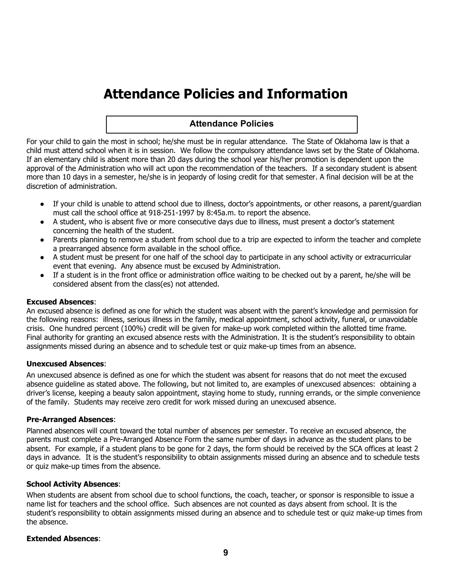# **Attendance Policies and Information**

# **Attendance Policies**

For your child to gain the most in school; he/she must be in regular attendance. The State of Oklahoma law is that a child must attend school when it is in session. We follow the compulsory attendance laws set by the State of Oklahoma. If an elementary child is absent more than 20 days during the school year his/her promotion is dependent upon the approval of the Administration who will act upon the recommendation of the teachers. If a secondary student is absent more than 10 days in a semester, he/she is in jeopardy of losing credit for that semester. A final decision will be at the discretion of administration.

- If your child is unable to attend school due to illness, doctor's appointments, or other reasons, a parent/guardian must call the school office at 918-251-1997 by 8:45a.m. to report the absence.
- A student, who is absent five or more consecutive days due to illness, must present a doctor's statement concerning the health of the student.
- Parents planning to remove a student from school due to a trip are expected to inform the teacher and complete a prearranged absence form available in the school office.
- A student must be present for one half of the school day to participate in any school activity or extracurricular event that evening. Any absence must be excused by Administration.
- If a student is in the front office or administration office waiting to be checked out by a parent, he/she will be considered absent from the class(es) not attended.

#### **Excused Absences**:

An excused absence is defined as one for which the student was absent with the parent's knowledge and permission for the following reasons: illness, serious illness in the family, medical appointment, school activity, funeral, or unavoidable crisis. One hundred percent (100%) credit will be given for make-up work completed within the allotted time frame. Final authority for granting an excused absence rests with the Administration. It is the student's responsibility to obtain assignments missed during an absence and to schedule test or quiz make-up times from an absence.

#### **Unexcused Absences**:

An unexcused absence is defined as one for which the student was absent for reasons that do not meet the excused absence guideline as stated above. The following, but not limited to, are examples of unexcused absences: obtaining a driver's license, keeping a beauty salon appointment, staying home to study, running errands, or the simple convenience of the family. Students may receive zero credit for work missed during an unexcused absence.

#### **Pre-Arranged Absences**:

Planned absences will count toward the total number of absences per semester. To receive an excused absence, the parents must complete a Pre-Arranged Absence Form the same number of days in advance as the student plans to be absent. For example, if a student plans to be gone for 2 days, the form should be received by the SCA offices at least 2 days in advance. It is the student's responsibility to obtain assignments missed during an absence and to schedule tests or quiz make-up times from the absence.

#### **School Activity Absences**:

When students are absent from school due to school functions, the coach, teacher, or sponsor is responsible to issue a name list for teachers and the school office. Such absences are not counted as days absent from school. It is the student's responsibility to obtain assignments missed during an absence and to schedule test or quiz make-up times from the absence.

#### **Extended Absences**: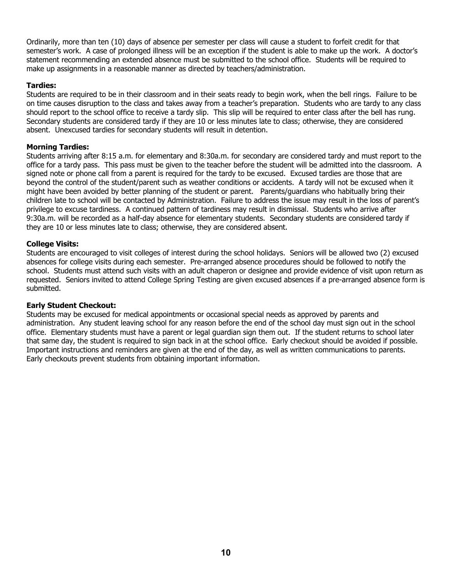Ordinarily, more than ten (10) days of absence per semester per class will cause a student to forfeit credit for that semester's work. A case of prolonged illness will be an exception if the student is able to make up the work. A doctor's statement recommending an extended absence must be submitted to the school office. Students will be required to make up assignments in a reasonable manner as directed by teachers/administration.

### **Tardies:**

Students are required to be in their classroom and in their seats ready to begin work, when the bell rings. Failure to be on time causes disruption to the class and takes away from a teacher's preparation. Students who are tardy to any class should report to the school office to receive a tardy slip. This slip will be required to enter class after the bell has rung. Secondary students are considered tardy if they are 10 or less minutes late to class; otherwise, they are considered absent. Unexcused tardies for secondary students will result in detention.

#### **Morning Tardies:**

Students arriving after 8:15 a.m. for elementary and 8:30a.m. for secondary are considered tardy and must report to the office for a tardy pass. This pass must be given to the teacher before the student will be admitted into the classroom. A signed note or phone call from a parent is required for the tardy to be excused. Excused tardies are those that are beyond the control of the student/parent such as weather conditions or accidents. A tardy will not be excused when it might have been avoided by better planning of the student or parent. Parents/guardians who habitually bring their children late to school will be contacted by Administration. Failure to address the issue may result in the loss of parent's privilege to excuse tardiness. A continued pattern of tardiness may result in dismissal. Students who arrive after 9:30a.m. will be recorded as a half-day absence for elementary students. Secondary students are considered tardy if they are 10 or less minutes late to class; otherwise, they are considered absent.

## **College Visits:**

Students are encouraged to visit colleges of interest during the school holidays. Seniors will be allowed two (2) excused absences for college visits during each semester. Pre-arranged absence procedures should be followed to notify the school. Students must attend such visits with an adult chaperon or designee and provide evidence of visit upon return as requested. Seniors invited to attend College Spring Testing are given excused absences if a pre-arranged absence form is submitted.

#### **Early Student Checkout:**

Students may be excused for medical appointments or occasional special needs as approved by parents and administration. Any student leaving school for any reason before the end of the school day must sign out in the school office. Elementary students must have a parent or legal guardian sign them out. If the student returns to school later that same day, the student is required to sign back in at the school office. Early checkout should be avoided if possible. Important instructions and reminders are given at the end of the day, as well as written communications to parents. Early checkouts prevent students from obtaining important information.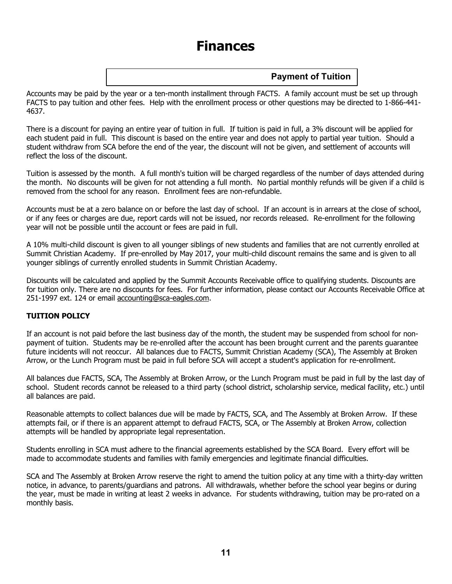# **Finances**

# **Payment of Tuition**

Accounts may be paid by the year or a ten-month installment through FACTS. A family account must be set up through FACTS to pay tuition and other fees. Help with the enrollment process or other questions may be directed to 1-866-441- 4637.

There is a discount for paying an entire year of tuition in full. If tuition is paid in full, a 3% discount will be applied for each student paid in full. This discount is based on the entire year and does not apply to partial year tuition. Should a student withdraw from SCA before the end of the year, the discount will not be given, and settlement of accounts will reflect the loss of the discount.

Tuition is assessed by the month. A full month's tuition will be charged regardless of the number of days attended during the month. No discounts will be given for not attending a full month. No partial monthly refunds will be given if a child is removed from the school for any reason. Enrollment fees are non-refundable.

Accounts must be at a zero balance on or before the last day of school. If an account is in arrears at the close of school, or if any fees or charges are due, report cards will not be issued, nor records released. Re-enrollment for the following year will not be possible until the account or fees are paid in full.

A 10% multi-child discount is given to all younger siblings of new students and families that are not currently enrolled at Summit Christian Academy. If pre-enrolled by May 2017, your multi-child discount remains the same and is given to all younger siblings of currently enrolled students in Summit Christian Academy.

Discounts will be calculated and applied by the Summit Accounts Receivable office to qualifying students. Discounts are for tuition only. There are no discounts for fees. For further information, please contact our Accounts Receivable Office at 251-1997 ext. 124 or email accounting@sca-eagles.com.

## **TUITION POLICY**

If an account is not paid before the last business day of the month, the student may be suspended from school for nonpayment of tuition. Students may be re-enrolled after the account has been brought current and the parents guarantee future incidents will not reoccur. All balances due to FACTS, Summit Christian Academy (SCA), The Assembly at Broken Arrow, or the Lunch Program must be paid in full before SCA will accept a student's application for re-enrollment.

All balances due FACTS, SCA, The Assembly at Broken Arrow, or the Lunch Program must be paid in full by the last day of school. Student records cannot be released to a third party (school district, scholarship service, medical facility, etc.) until all balances are paid.

Reasonable attempts to collect balances due will be made by FACTS, SCA, and The Assembly at Broken Arrow. If these attempts fail, or if there is an apparent attempt to defraud FACTS, SCA, or The Assembly at Broken Arrow, collection attempts will be handled by appropriate legal representation.

Students enrolling in SCA must adhere to the financial agreements established by the SCA Board. Every effort will be made to accommodate students and families with family emergencies and legitimate financial difficulties.

SCA and The Assembly at Broken Arrow reserve the right to amend the tuition policy at any time with a thirty-day written notice, in advance, to parents/guardians and patrons. All withdrawals, whether before the school year begins or during the year, must be made in writing at least 2 weeks in advance. For students withdrawing, tuition may be pro-rated on a monthly basis.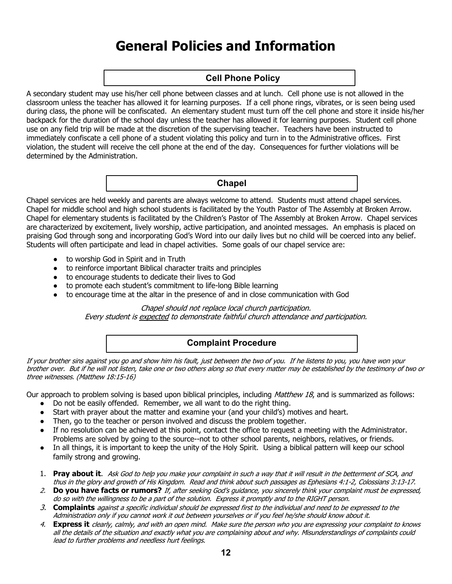# **General Policies and Information**

# **Cell Phone Policy**

A secondary student may use his/her cell phone between classes and at lunch. Cell phone use is not allowed in the classroom unless the teacher has allowed it for learning purposes. If a cell phone rings, vibrates, or is seen being used during class, the phone will be confiscated. An elementary student must turn off the cell phone and store it inside his/her backpack for the duration of the school day unless the teacher has allowed it for learning purposes. Student cell phone use on any field trip will be made at the discretion of the supervising teacher. Teachers have been instructed to immediately confiscate a cell phone of a student violating this policy and turn in to the Administrative offices. First violation, the student will receive the cell phone at the end of the day. Consequences for further violations will be determined by the Administration.

### **Chapel**

Chapel services are held weekly and parents are always welcome to attend. Students must attend chapel services. Chapel for middle school and high school students is facilitated by the Youth Pastor of The Assembly at Broken Arrow. Chapel for elementary students is facilitated by the Children's Pastor of The Assembly at Broken Arrow. Chapel services are characterized by excitement, lively worship, active participation, and anointed messages. An emphasis is placed on praising God through song and incorporating God's Word into our daily lives but no child will be coerced into any belief. Students will often participate and lead in chapel activities. Some goals of our chapel service are:

- to worship God in Spirit and in Truth
- to reinforce important Biblical character traits and principles
- to encourage students to dedicate their lives to God
- to promote each student's commitment to life-long Bible learning
- to encourage time at the altar in the presence of and in close communication with God

#### Chapel should not replace local church participation.

Every student is expected to demonstrate faithful church attendance and participation.

# **Complaint Procedure**

If your brother sins against you go and show him his fault, just between the two of you. If he listens to you, you have won your brother over. But if he will not listen, take one or two others along so that every matter may be established by the testimony of two or three witnesses. (Matthew 18:15-16)

Our approach to problem solving is based upon biblical principles, including Matthew 18, and is summarized as follows:

- Do not be easily offended. Remember, we all want to do the right thing.
- Start with prayer about the matter and examine your (and your child's) motives and heart.
- Then, go to the teacher or person involved and discuss the problem together.
- If no resolution can be achieved at this point, contact the office to request a meeting with the Administrator. Problems are solved by going to the source--not to other school parents, neighbors, relatives, or friends.
- In all things, it is important to keep the unity of the Holy Spirit. Using a biblical pattern will keep our school family strong and growing.
- 1. **Pray about it**. Ask God to help you make your complaint in such a way that it will result in the betterment of SCA, and thus in the glory and growth of His Kingdom. Read and think about such passages as Ephesians 4:1-2, Colossians 3:13-17.
- 2. **Do you have facts or rumors?** If, after seeking God's guidance, you sincerely think your complaint must be expressed, do so with the willingness to be a part of the solution. Express it promptly and to the RIGHT person.
- 3. **Complaints** against a specific individual should be expressed first to the individual and need to be expressed to the Administration only if you cannot work it out between yourselves or if you feel he/she should know about it.
- 4. **Express it** clearly, calmly, and with an open mind. Make sure the person who you are expressing your complaint to knows all the details of the situation and exactly what you are complaining about and why. Misunderstandings of complaints could lead to further problems and needless hurt feelings.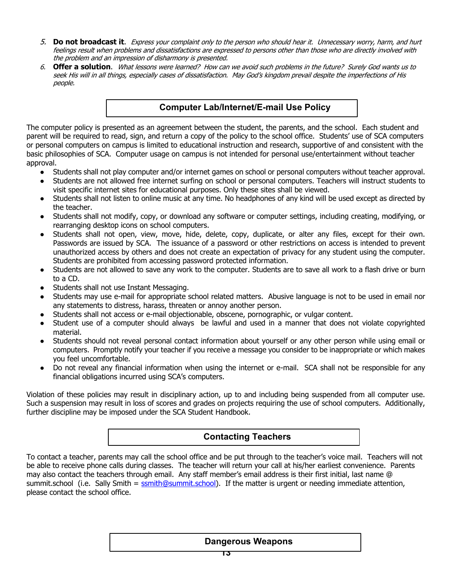- 5. **Do not broadcast it**. Express your complaint only to the person who should hear it. Unnecessary worry, harm, and hurt feelings result when problems and dissatisfactions are expressed to persons other than those who are directly involved with the problem and an impression of disharmony is presented.
- 6. **Offer a solution**. What lessons were learned? How can we avoid such problems in the future? Surely God wants us to seek His will in all things, especially cases of dissatisfaction. May God's kingdom prevail despite the imperfections of His people.

# **Computer Lab/Internet/E-mail Use Policy**

The computer policy is presented as an agreement between the student, the parents, and the school. Each student and parent will be required to read, sign, and return a copy of the policy to the school office. Students' use of SCA computers or personal computers on campus is limited to educational instruction and research, supportive of and consistent with the basic philosophies of SCA. Computer usage on campus is not intended for personal use/entertainment without teacher approval.

- Students shall not play computer and/or internet games on school or personal computers without teacher approval.
- Students are not allowed free internet surfing on school or personal computers. Teachers will instruct students to visit specific internet sites for educational purposes. Only these sites shall be viewed.
- Students shall not listen to online music at any time. No headphones of any kind will be used except as directed by the teacher.
- Students shall not modify, copy, or download any software or computer settings, including creating, modifying, or rearranging desktop icons on school computers.
- Students shall not open, view, move, hide, delete, copy, duplicate, or alter any files, except for their own. Passwords are issued by SCA. The issuance of a password or other restrictions on access is intended to prevent unauthorized access by others and does not create an expectation of privacy for any student using the computer. Students are prohibited from accessing password protected information.
- Students are not allowed to save any work to the computer. Students are to save all work to a flash drive or burn to a CD.
- Students shall not use Instant Messaging.
- Students may use e-mail for appropriate school related matters. Abusive language is not to be used in email nor any statements to distress, harass, threaten or annoy another person.
- Students shall not access or e-mail objectionable, obscene, pornographic, or vulgar content.
- Student use of a computer should always be lawful and used in a manner that does not violate copyrighted material.
- Students should not reveal personal contact information about yourself or any other person while using email or computers. Promptly notify your teacher if you receive a message you consider to be inappropriate or which makes you feel uncomfortable.
- Do not reveal any financial information when using the internet or e-mail. SCA shall not be responsible for any financial obligations incurred using SCA's computers.

Violation of these policies may result in disciplinary action, up to and including being suspended from all computer use. Such a suspension may result in loss of scores and grades on projects requiring the use of school computers. Additionally, further discipline may be imposed under the SCA Student Handbook.

# **Contacting Teachers**

To contact a teacher, parents may call the school office and be put through to the teacher's voice mail. Teachers will not be able to receive phone calls during classes. The teacher will return your call at his/her earliest convenience. Parents may also contact the teachers through email. Any staff member's email address is their first initial, last name @ summit.school (i.e. Sally Smith = ssmith@summit.school). If the matter is urgent or needing immediate attention, please contact the school office.

## **Dangerous Weapons**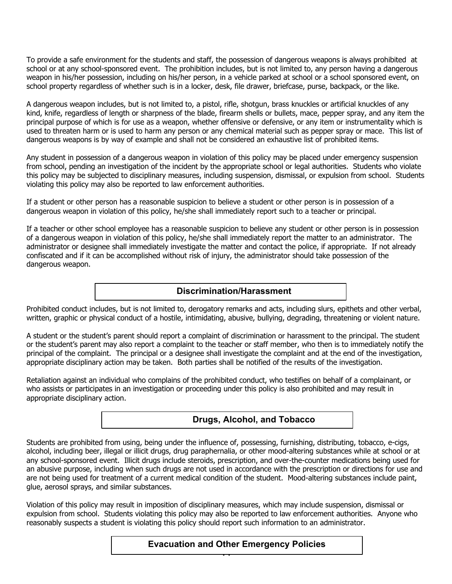To provide a safe environment for the students and staff, the possession of dangerous weapons is always prohibited at school or at any school-sponsored event. The prohibition includes, but is not limited to, any person having a dangerous weapon in his/her possession, including on his/her person, in a vehicle parked at school or a school sponsored event, on school property regardless of whether such is in a locker, desk, file drawer, briefcase, purse, backpack, or the like.

A dangerous weapon includes, but is not limited to, a pistol, rifle, shotgun, brass knuckles or artificial knuckles of any kind, knife, regardless of length or sharpness of the blade, firearm shells or bullets, mace, pepper spray, and any item the principal purpose of which is for use as a weapon, whether offensive or defensive, or any item or instrumentality which is used to threaten harm or is used to harm any person or any chemical material such as pepper spray or mace. This list of dangerous weapons is by way of example and shall not be considered an exhaustive list of prohibited items.

Any student in possession of a dangerous weapon in violation of this policy may be placed under emergency suspension from school, pending an investigation of the incident by the appropriate school or legal authorities. Students who violate this policy may be subjected to disciplinary measures, including suspension, dismissal, or expulsion from school. Students violating this policy may also be reported to law enforcement authorities.

If a student or other person has a reasonable suspicion to believe a student or other person is in possession of a dangerous weapon in violation of this policy, he/she shall immediately report such to a teacher or principal.

If a teacher or other school employee has a reasonable suspicion to believe any student or other person is in possession of a dangerous weapon in violation of this policy, he/she shall immediately report the matter to an administrator. The administrator or designee shall immediately investigate the matter and contact the police, if appropriate. If not already confiscated and if it can be accomplished without risk of injury, the administrator should take possession of the dangerous weapon.

## **Discrimination/Harassment**

Prohibited conduct includes, but is not limited to, derogatory remarks and acts, including slurs, epithets and other verbal, written, graphic or physical conduct of a hostile, intimidating, abusive, bullying, degrading, threatening or violent nature.

A student or the student's parent should report a complaint of discrimination or harassment to the principal. The student or the student's parent may also report a complaint to the teacher or staff member, who then is to immediately notify the principal of the complaint. The principal or a designee shall investigate the complaint and at the end of the investigation, appropriate disciplinary action may be taken. Both parties shall be notified of the results of the investigation.

Retaliation against an individual who complains of the prohibited conduct, who testifies on behalf of a complainant, or who assists or participates in an investigation or proceeding under this policy is also prohibited and may result in appropriate disciplinary action.

## **Drugs, Alcohol, and Tobacco**

Students are prohibited from using, being under the influence of, possessing, furnishing, distributing, tobacco, e-cigs, alcohol, including beer, illegal or illicit drugs, drug paraphernalia, or other mood-altering substances while at school or at any school-sponsored event. Illicit drugs include steroids, prescription, and over-the-counter medications being used for an abusive purpose, including when such drugs are not used in accordance with the prescription or directions for use and are not being used for treatment of a current medical condition of the student. Mood-altering substances include paint, glue, aerosol sprays, and similar substances.

Violation of this policy may result in imposition of disciplinary measures, which may include suspension, dismissal or expulsion from school. Students violating this policy may also be reported to law enforcement authorities. Anyone who reasonably suspects a student is violating this policy should report such information to an administrator.

#### **14 Evacuation and Other Emergency Policies**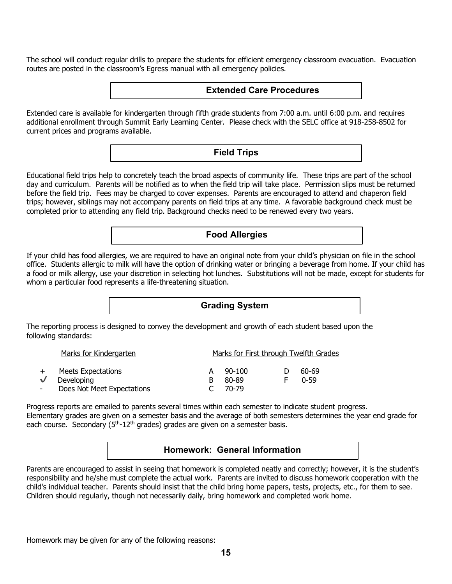The school will conduct regular drills to prepare the students for efficient emergency classroom evacuation. Evacuation routes are posted in the classroom's Egress manual with all emergency policies.



Extended care is available for kindergarten through fifth grade students from 7:00 a.m. until 6:00 p.m. and requires additional enrollment through Summit Early Learning Center. Please check with the SELC office at 918-258-8502 for current prices and programs available.

**Field Trips**

Educational field trips help to concretely teach the broad aspects of community life. These trips are part of the school day and curriculum. Parents will be notified as to when the field trip will take place. Permission slips must be returned before the field trip. Fees may be charged to cover expenses. Parents are encouraged to attend and chaperon field trips; however, siblings may not accompany parents on field trips at any time. A favorable background check must be completed prior to attending any field trip. Background checks need to be renewed every two years.

## **Food Allergies**

If your child has food allergies, we are required to have an original note from your child's physician on file in the school office. Students allergic to milk will have the option of drinking water or bringing a beverage from home. If your child has a food or milk allergy, use your discretion in selecting hot lunches. Substitutions will not be made, except for students for whom a particular food represents a life-threatening situation.

# **Grading System**

The reporting process is designed to convey the development and growth of each student based upon the following standards:

|                | Marks for Kindergarten     |   | Marks for First through Twelfth Grades |              |       |  |
|----------------|----------------------------|---|----------------------------------------|--------------|-------|--|
|                |                            |   |                                        |              |       |  |
|                | Meets Expectations         |   | $90-100$                               | $\mathbf{D}$ | 60-69 |  |
|                | Developing                 | В | 80-89                                  |              | በ-59  |  |
| $\blacksquare$ | Does Not Meet Expectations |   | 70-79                                  |              |       |  |

Progress reports are emailed to parents several times within each semester to indicate student progress. Elementary grades are given on a semester basis and the average of both semesters determines the year end grade for each course. Secondary  $(5<sup>th</sup>-12<sup>th</sup>$  grades) grades are given on a semester basis.

## **Homework: General Information**

Parents are encouraged to assist in seeing that homework is completed neatly and correctly; however, it is the student's responsibility and he/she must complete the actual work. Parents are invited to discuss homework cooperation with the child's individual teacher. Parents should insist that the child bring home papers, tests, projects, etc., for them to see. Children should regularly, though not necessarily daily, bring homework and completed work home.

Homework may be given for any of the following reasons: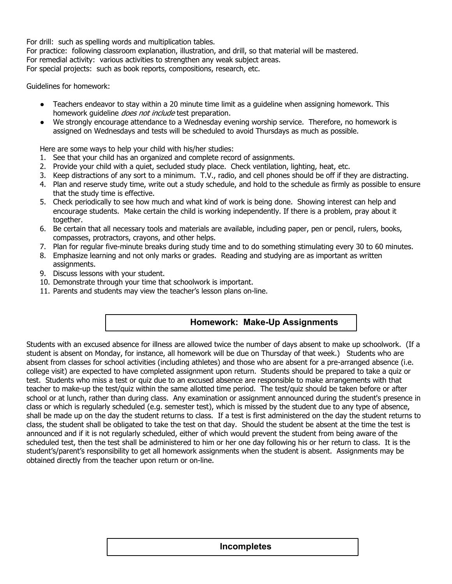For drill: such as spelling words and multiplication tables.

For practice: following classroom explanation, illustration, and drill, so that material will be mastered. For remedial activity: various activities to strengthen any weak subject areas. For special projects: such as book reports, compositions, research, etc.

Guidelines for homework:

- Teachers endeavor to stay within a 20 minute time limit as a quideline when assigning homework. This homework quideline *does not include* test preparation.
- We strongly encourage attendance to a Wednesday evening worship service. Therefore, no homework is assigned on Wednesdays and tests will be scheduled to avoid Thursdays as much as possible.

Here are some ways to help your child with his/her studies:

- 1. See that your child has an organized and complete record of assignments.
- 2. Provide your child with a quiet, secluded study place. Check ventilation, lighting, heat, etc.
- 3. Keep distractions of any sort to a minimum. T.V., radio, and cell phones should be off if they are distracting.
- 4. Plan and reserve study time, write out a study schedule, and hold to the schedule as firmly as possible to ensure that the study time is effective.
- 5. Check periodically to see how much and what kind of work is being done. Showing interest can help and encourage students. Make certain the child is working independently. If there is a problem, pray about it together.
- 6. Be certain that all necessary tools and materials are available, including paper, pen or pencil, rulers, books, compasses, protractors, crayons, and other helps.
- 7. Plan for regular five-minute breaks during study time and to do something stimulating every 30 to 60 minutes.
- 8. Emphasize learning and not only marks or grades. Reading and studying are as important as written assignments.
- 9. Discuss lessons with your student.
- 10. Demonstrate through your time that schoolwork is important.
- 11. Parents and students may view the teacher's lesson plans on-line.

## **Homework: Make-Up Assignments**

Students with an excused absence for illness are allowed twice the number of days absent to make up schoolwork. (If a student is absent on Monday, for instance, all homework will be due on Thursday of that week.) Students who are absent from classes for school activities (including athletes) and those who are absent for a pre-arranged absence (i.e. college visit) are expected to have completed assignment upon return. Students should be prepared to take a quiz or test. Students who miss a test or quiz due to an excused absence are responsible to make arrangements with that teacher to make-up the test/quiz within the same allotted time period. The test/quiz should be taken before or after school or at lunch, rather than during class. Any examination or assignment announced during the student's presence in class or which is regularly scheduled (e.g. semester test), which is missed by the student due to any type of absence, shall be made up on the day the student returns to class. If a test is first administered on the day the student returns to class, the student shall be obligated to take the test on that day. Should the student be absent at the time the test is announced and if it is not regularly scheduled, either of which would prevent the student from being aware of the scheduled test, then the test shall be administered to him or her one day following his or her return to class. It is the student's/parent's responsibility to get all homework assignments when the student is absent. Assignments may be obtained directly from the teacher upon return or on-line.

#### <u>16</u> **Incompletes**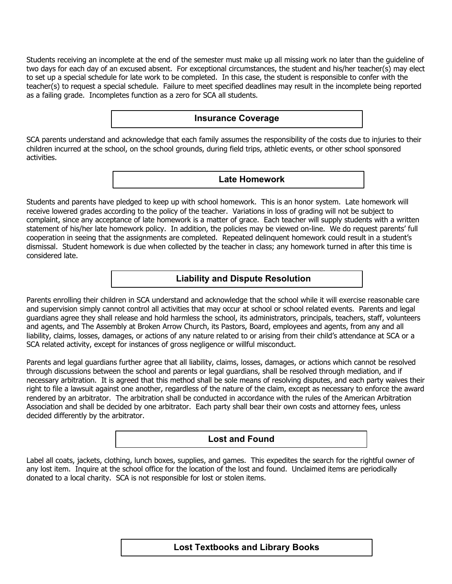Students receiving an incomplete at the end of the semester must make up all missing work no later than the guideline of two days for each day of an excused absent. For exceptional circumstances, the student and his/her teacher(s) may elect to set up a special schedule for late work to be completed. In this case, the student is responsible to confer with the teacher(s) to request a special schedule. Failure to meet specified deadlines may result in the incomplete being reported as a failing grade. Incompletes function as a zero for SCA all students.

### **Insurance Coverage**

SCA parents understand and acknowledge that each family assumes the responsibility of the costs due to injuries to their children incurred at the school, on the school grounds, during field trips, athletic events, or other school sponsored activities.

**Late Homework**

Students and parents have pledged to keep up with school homework. This is an honor system. Late homework will receive lowered grades according to the policy of the teacher. Variations in loss of grading will not be subject to complaint, since any acceptance of late homework is a matter of grace. Each teacher will supply students with a written statement of his/her late homework policy. In addition, the policies may be viewed on-line. We do request parents' full cooperation in seeing that the assignments are completed. Repeated delinquent homework could result in a student's dismissal. Student homework is due when collected by the teacher in class; any homework turned in after this time is considered late.

## **Liability and Dispute Resolution**

Parents enrolling their children in SCA understand and acknowledge that the school while it will exercise reasonable care and supervision simply cannot control all activities that may occur at school or school related events. Parents and legal guardians agree they shall release and hold harmless the school, its administrators, principals, teachers, staff, volunteers and agents, and The Assembly at Broken Arrow Church, its Pastors, Board, employees and agents, from any and all liability, claims, losses, damages, or actions of any nature related to or arising from their child's attendance at SCA or a SCA related activity, except for instances of gross negligence or willful misconduct.

Parents and legal guardians further agree that all liability, claims, losses, damages, or actions which cannot be resolved through discussions between the school and parents or legal guardians, shall be resolved through mediation, and if necessary arbitration. It is agreed that this method shall be sole means of resolving disputes, and each party waives their right to file a lawsuit against one another, regardless of the nature of the claim, except as necessary to enforce the award rendered by an arbitrator. The arbitration shall be conducted in accordance with the rules of the American Arbitration Association and shall be decided by one arbitrator. Each party shall bear their own costs and attorney fees, unless decided differently by the arbitrator.

## **Lost and Found**

Label all coats, jackets, clothing, lunch boxes, supplies, and games. This expedites the search for the rightful owner of any lost item. Inquire at the school office for the location of the lost and found. Unclaimed items are periodically donated to a local charity. SCA is not responsible for lost or stolen items.

# **17 Lost Textbooks and Library Books**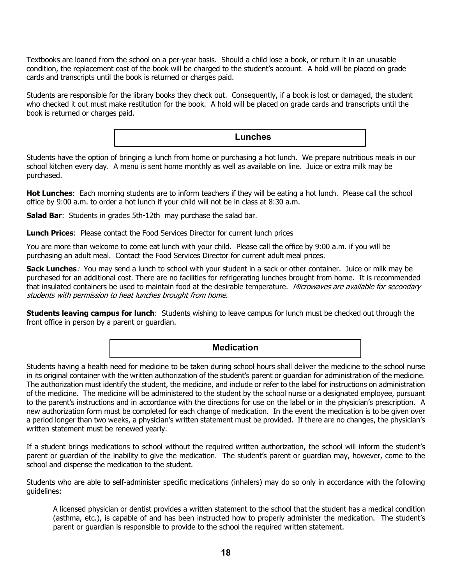Textbooks are loaned from the school on a per-year basis. Should a child lose a book, or return it in an unusable condition, the replacement cost of the book will be charged to the student's account. A hold will be placed on grade cards and transcripts until the book is returned or charges paid.

Students are responsible for the library books they check out. Consequently, if a book is lost or damaged, the student who checked it out must make restitution for the book. A hold will be placed on grade cards and transcripts until the book is returned or charges paid.

**Lunches**

Students have the option of bringing a lunch from home or purchasing a hot lunch. We prepare nutritious meals in our school kitchen every day. A menu is sent home monthly as well as available on line. Juice or extra milk may be purchased.

**Hot Lunches**: Each morning students are to inform teachers if they will be eating a hot lunch. Please call the school office by 9:00 a.m. to order a hot lunch if your child will not be in class at 8:30 a.m.

**Salad Bar:** Students in grades 5th-12th may purchase the salad bar.

**Lunch Prices**: Please contact the Food Services Director for current lunch prices

You are more than welcome to come eat lunch with your child. Please call the office by 9:00 a.m. if you will be purchasing an adult meal. Contact the Food Services Director for current adult meal prices.

**Sack Lunches**: You may send a lunch to school with your student in a sack or other container. Juice or milk may be purchased for an additional cost. There are no facilities for refrigerating lunches brought from home. It is recommended that insulated containers be used to maintain food at the desirable temperature. Microwaves are available for secondary students with permission to heat lunches brought from home.

**Students leaving campus for lunch**: Students wishing to leave campus for lunch must be checked out through the front office in person by a parent or guardian.

## **Medication**

Students having a health need for medicine to be taken during school hours shall deliver the medicine to the school nurse in its original container with the written authorization of the student's parent or guardian for administration of the medicine. The authorization must identify the student, the medicine, and include or refer to the label for instructions on administration of the medicine. The medicine will be administered to the student by the school nurse or a designated employee, pursuant to the parent's instructions and in accordance with the directions for use on the label or in the physician's prescription. A new authorization form must be completed for each change of medication. In the event the medication is to be given over a period longer than two weeks, a physician's written statement must be provided. If there are no changes, the physician's written statement must be renewed yearly.

If a student brings medications to school without the required written authorization, the school will inform the student's parent or guardian of the inability to give the medication. The student's parent or guardian may, however, come to the school and dispense the medication to the student.

Students who are able to self-administer specific medications (inhalers) may do so only in accordance with the following guidelines:

A licensed physician or dentist provides a written statement to the school that the student has a medical condition (asthma, etc.), is capable of and has been instructed how to properly administer the medication. The student's parent or guardian is responsible to provide to the school the required written statement.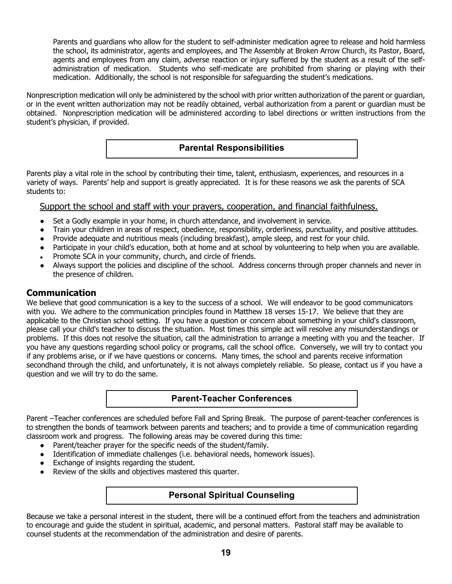Parents and guardians who allow for the student to self-administer medication agree to release and hold harmless the school, its administrator, agents and employees, and The Assembly at Broken Arrow Church, its Pastor, Board, agents and employees from any claim, adverse reaction or injury suffered by the student as a result of the selfadministration of medication. Students who self-medicate are prohibited from sharing or playing with their medication. Additionally, the school is not responsible for safeguarding the student's medications.

Nonprescription medication will only be administered by the school with prior written authorization of the parent or guardian, or in the event written authorization may not be readily obtained, verbal authorization from a parent or guardian must be obtained. Nonprescription medication will be administered according to label directions or written instructions from the student's physician, if provided.

## **Parental Responsibilities**

Parents play a vital role in the school by contributing their time, talent, enthusiasm, experiences, and resources in a variety of ways. Parents' help and support is greatly appreciated. It is for these reasons we ask the parents of SCA students to:

## Support the school and staff with your prayers, cooperation, and financial faithfulness.

- Set a Godly example in your home, in church attendance, and involvement in service.
- Train your children in areas of respect, obedience, responsibility, orderliness, punctuality, and positive attitudes.
- Provide adequate and nutritious meals (including breakfast), ample sleep, and rest for your child.
- Participate in your child's education, both at home and at school by volunteering to help when you are available.
- Promote SCA in your community, church, and circle of friends.
- Always support the policies and discipline of the school. Address concerns through proper channels and never in the presence of children.

## **Communication**

We believe that good communication is a key to the success of a school. We will endeavor to be good communicators with you. We adhere to the communication principles found in Matthew 18 verses 15-17. We believe that they are applicable to the Christian school setting. If you have a question or concern about something in your child's classroom, please call your child's teacher to discuss the situation. Most times this simple act will resolve any misunderstandings or problems. If this does not resolve the situation, call the administration to arrange a meeting with you and the teacher. If you have any questions regarding school policy or programs, call the school office. Conversely, we will try to contact you if any problems arise, or if we have questions or concerns. Many times, the school and parents receive information secondhand through the child, and unfortunately, it is not always completely reliable. So please, contact us if you have a question and we will try to do the same.

## **Parent-Teacher Conferences**

Parent –Teacher conferences are scheduled before Fall and Spring Break. The purpose of parent-teacher conferences is to strengthen the bonds of teamwork between parents and teachers; and to provide a time of communication regarding classroom work and progress. The following areas may be covered during this time:

- Parent/teacher prayer for the specific needs of the student/family.
- Identification of immediate challenges (i.e. behavioral needs, homework issues).
- Exchange of insights regarding the student.
- Review of the skills and objectives mastered this quarter.

## **Personal Spiritual Counseling**

Because we take a personal interest in the student, there will be a continued effort from the teachers and administration to encourage and guide the student in spiritual, academic, and personal matters. Pastoral staff may be available to counsel students at the recommendation of the administration and desire of parents.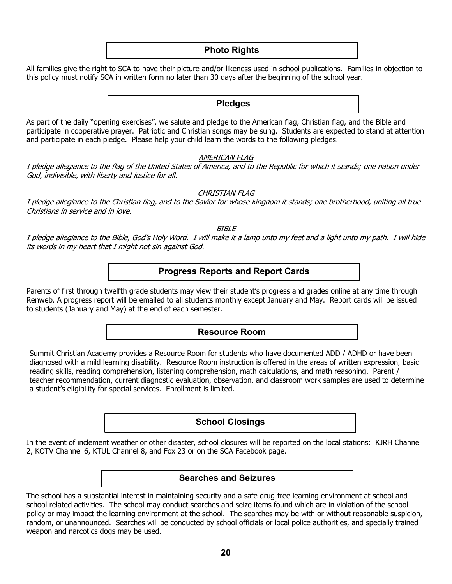### **Photo Rights**

All families give the right to SCA to have their picture and/or likeness used in school publications. Families in objection to this policy must notify SCA in written form no later than 30 days after the beginning of the school year.

#### **Pledges**

As part of the daily "opening exercises", we salute and pledge to the American flag, Christian flag, and the Bible and participate in cooperative prayer. Patriotic and Christian songs may be sung. Students are expected to stand at attention and participate in each pledge. Please help your child learn the words to the following pledges.

#### AMERICAN FLAG

I pledge allegiance to the flag of the United States of America, and to the Republic for which it stands; one nation under God, indivisible, with liberty and justice for all.

#### CHRISTIAN FLAG

I pledge allegiance to the Christian flag, and to the Savior for whose kingdom it stands; one brotherhood, uniting all true Christians in service and in love.

BIBLE

I pledge allegiance to the Bible, God's Holy Word. I will make it a lamp unto my feet and a light unto my path. I will hide its words in my heart that I might not sin against God.

### **Progress Reports and Report Cards**

Parents of first through twelfth grade students may view their student's progress and grades online at any time through Renweb. A progress report will be emailed to all students monthly except January and May. Report cards will be issued to students (January and May) at the end of each semester.

#### **Resource Room**

Summit Christian Academy provides a Resource Room for students who have documented ADD / ADHD or have been diagnosed with a mild learning disability. Resource Room instruction is offered in the areas of written expression, basic reading skills, reading comprehension, listening comprehension, math calculations, and math reasoning. Parent / teacher recommendation, current diagnostic evaluation, observation, and classroom work samples are used to determine a student's eligibility for special services. Enrollment is limited.

## **School Closings**

In the event of inclement weather or other disaster, school closures will be reported on the local stations: KJRH Channel 2, KOTV Channel 6, KTUL Channel 8, and Fox 23 or on the SCA Facebook page.

#### **Searches and Seizures**

The school has a substantial interest in maintaining security and a safe drug-free learning environment at school and school related activities. The school may conduct searches and seize items found which are in violation of the school policy or may impact the learning environment at the school. The searches may be with or without reasonable suspicion, random, or unannounced. Searches will be conducted by school officials or local police authorities, and specially trained weapon and narcotics dogs may be used.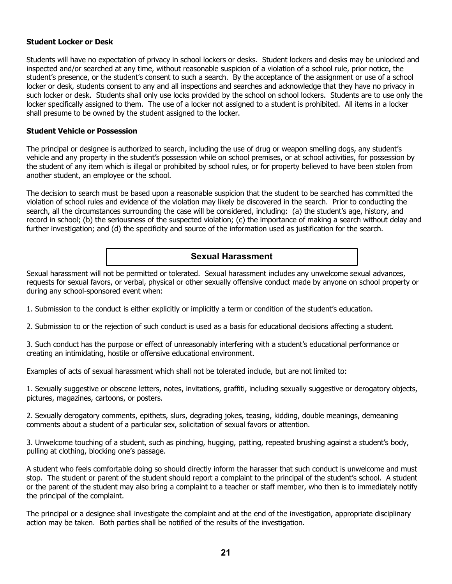#### **Student Locker or Desk**

Students will have no expectation of privacy in school lockers or desks. Student lockers and desks may be unlocked and inspected and/or searched at any time, without reasonable suspicion of a violation of a school rule, prior notice, the student's presence, or the student's consent to such a search. By the acceptance of the assignment or use of a school locker or desk, students consent to any and all inspections and searches and acknowledge that they have no privacy in such locker or desk. Students shall only use locks provided by the school on school lockers. Students are to use only the locker specifically assigned to them. The use of a locker not assigned to a student is prohibited. All items in a locker shall presume to be owned by the student assigned to the locker.

#### **Student Vehicle or Possession**

The principal or designee is authorized to search, including the use of drug or weapon smelling dogs, any student's vehicle and any property in the student's possession while on school premises, or at school activities, for possession by the student of any item which is illegal or prohibited by school rules, or for property believed to have been stolen from another student, an employee or the school.

The decision to search must be based upon a reasonable suspicion that the student to be searched has committed the violation of school rules and evidence of the violation may likely be discovered in the search. Prior to conducting the search, all the circumstances surrounding the case will be considered, including: (a) the student's age, history, and record in school; (b) the seriousness of the suspected violation; (c) the importance of making a search without delay and further investigation; and (d) the specificity and source of the information used as justification for the search.

## **Sexual Harassment**

Sexual harassment will not be permitted or tolerated. Sexual harassment includes any unwelcome sexual advances, requests for sexual favors, or verbal, physical or other sexually offensive conduct made by anyone on school property or during any school-sponsored event when:

1. Submission to the conduct is either explicitly or implicitly a term or condition of the student's education.

2. Submission to or the rejection of such conduct is used as a basis for educational decisions affecting a student.

3. Such conduct has the purpose or effect of unreasonably interfering with a student's educational performance or creating an intimidating, hostile or offensive educational environment.

Examples of acts of sexual harassment which shall not be tolerated include, but are not limited to:

1. Sexually suggestive or obscene letters, notes, invitations, graffiti, including sexually suggestive or derogatory objects, pictures, magazines, cartoons, or posters.

2. Sexually derogatory comments, epithets, slurs, degrading jokes, teasing, kidding, double meanings, demeaning comments about a student of a particular sex, solicitation of sexual favors or attention.

3. Unwelcome touching of a student, such as pinching, hugging, patting, repeated brushing against a student's body, pulling at clothing, blocking one's passage.

A student who feels comfortable doing so should directly inform the harasser that such conduct is unwelcome and must stop. The student or parent of the student should report a complaint to the principal of the student's school. A student or the parent of the student may also bring a complaint to a teacher or staff member, who then is to immediately notify the principal of the complaint.

The principal or a designee shall investigate the complaint and at the end of the investigation, appropriate disciplinary action may be taken. Both parties shall be notified of the results of the investigation.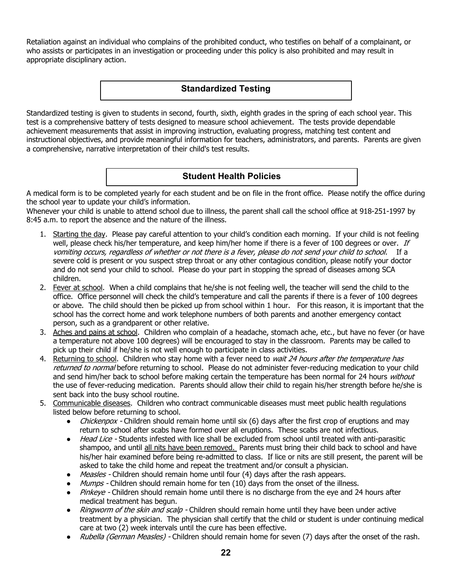Retaliation against an individual who complains of the prohibited conduct, who testifies on behalf of a complainant, or who assists or participates in an investigation or proceeding under this policy is also prohibited and may result in appropriate disciplinary action.

# **Standardized Testing**

Standardized testing is given to students in second, fourth, sixth, eighth grades in the spring of each school year. This test is a comprehensive battery of tests designed to measure school achievement. The tests provide dependable achievement measurements that assist in improving instruction, evaluating progress, matching test content and instructional objectives, and provide meaningful information for teachers, administrators, and parents. Parents are given a comprehensive, narrative interpretation of their child's test results.

# **Student Health Policies**

A medical form is to be completed yearly for each student and be on file in the front office. Please notify the office during the school year to update your child's information.

Whenever your child is unable to attend school due to illness, the parent shall call the school office at 918-251-1997 by 8:45 a.m. to report the absence and the nature of the illness.

- 1. Starting the day. Please pay careful attention to your child's condition each morning. If your child is not feeling well, please check his/her temperature, and keep him/her home if there is a fever of 100 degrees or over. If vomiting occurs, regardless of whether or not there is a fever, please do not send your child to school. If a severe cold is present or you suspect strep throat or any other contagious condition, please notify your doctor and do not send your child to school. Please do your part in stopping the spread of diseases among SCA children.
- 2. Fever at school. When a child complains that he/she is not feeling well, the teacher will send the child to the office. Office personnel will check the child's temperature and call the parents if there is a fever of 100 degrees or above. The child should then be picked up from school within 1 hour. For this reason, it is important that the school has the correct home and work telephone numbers of both parents and another emergency contact person, such as a grandparent or other relative.
- 3. Aches and pains at school. Children who complain of a headache, stomach ache, etc., but have no fever (or have a temperature not above 100 degrees) will be encouraged to stay in the classroom. Parents may be called to pick up their child if he/she is not well enough to participate in class activities.
- 4. Returning to school. Children who stay home with a fever need to *wait 24 hours after the temperature has* returned to normal before returning to school. Please do not administer fever-reducing medication to your child and send him/her back to school before making certain the temperature has been normal for 24 hours without the use of fever-reducing medication. Parents should allow their child to regain his/her strength before he/she is sent back into the busy school routine.
- 5. Communicable diseases. Children who contract communicable diseases must meet public health regulations listed below before returning to school.
	- Chickenpox Children should remain home until six (6) days after the first crop of eruptions and may return to school after scabs have formed over all eruptions. These scabs are not infectious.
	- Head Lice Students infested with lice shall be excluded from school until treated with anti-parasitic shampoo, and until all nits have been removed. Parents must bring their child back to school and have his/her hair examined before being re-admitted to class. If lice or nits are still present, the parent will be asked to take the child home and repeat the treatment and/or consult a physician.
	- *Measles* Children should remain home until four (4) days after the rash appears.
	- Mumps Children should remain home for ten (10) days from the onset of the illness.
	- Pinkeye Children should remain home until there is no discharge from the eye and 24 hours after medical treatment has begun.
	- Ringworm of the skin and scalp Children should remain home until they have been under active treatment by a physician. The physician shall certify that the child or student is under continuing medical care at two (2) week intervals until the cure has been effective.
	- Rubella (German Measles) Children should remain home for seven (7) days after the onset of the rash.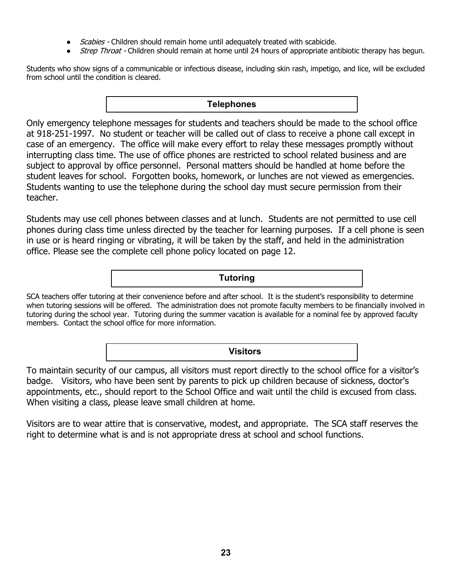- Scabies Children should remain home until adequately treated with scabicide.
- Strep Throat Children should remain at home until 24 hours of appropriate antibiotic therapy has begun.

Students who show signs of a communicable or infectious disease, including skin rash, impetigo, and lice, will be excluded from school until the condition is cleared.

## **Telephones**

Only emergency telephone messages for students and teachers should be made to the school office at 918-251-1997. No student or teacher will be called out of class to receive a phone call except in case of an emergency. The office will make every effort to relay these messages promptly without interrupting class time. The use of office phones are restricted to school related business and are subject to approval by office personnel. Personal matters should be handled at home before the student leaves for school. Forgotten books, homework, or lunches are not viewed as emergencies. Students wanting to use the telephone during the school day must secure permission from their teacher.

Students may use cell phones between classes and at lunch. Students are not permitted to use cell phones during class time unless directed by the teacher for learning purposes. If a cell phone is seen in use or is heard ringing or vibrating, it will be taken by the staff, and held in the administration office. Please see the complete cell phone policy located on page 12.

**Tutoring**

SCA teachers offer tutoring at their convenience before and after school. It is the student's responsibility to determine when tutoring sessions will be offered. The administration does not promote faculty members to be financially involved in tutoring during the school year. Tutoring during the summer vacation is available for a nominal fee by approved faculty members. Contact the school office for more information.

**Visitors**

To maintain security of our campus, all visitors must report directly to the school office for a visitor's badge. Visitors, who have been sent by parents to pick up children because of sickness, doctor's appointments, etc., should report to the School Office and wait until the child is excused from class. When visiting a class, please leave small children at home.

Visitors are to wear attire that is conservative, modest, and appropriate. The SCA staff reserves the right to determine what is and is not appropriate dress at school and school functions.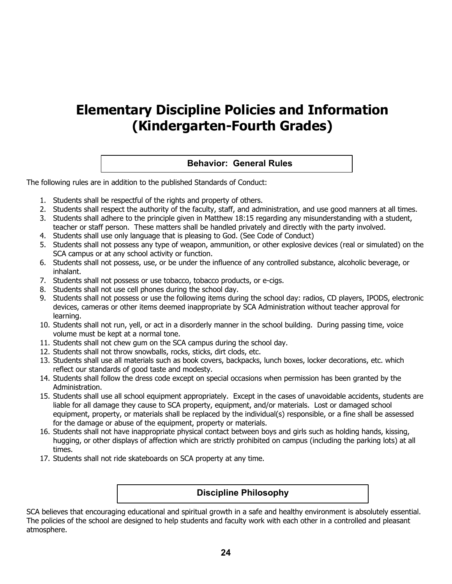# **Elementary Discipline Policies and Information (Kindergarten-Fourth Grades)**

## **Behavior: General Rules**

The following rules are in addition to the published Standards of Conduct:

- 1. Students shall be respectful of the rights and property of others.
- 2. Students shall respect the authority of the faculty, staff, and administration, and use good manners at all times.
- 3. Students shall adhere to the principle given in Matthew 18:15 regarding any misunderstanding with a student, teacher or staff person. These matters shall be handled privately and directly with the party involved.
- 4. Students shall use only language that is pleasing to God. (See Code of Conduct)
- 5. Students shall not possess any type of weapon, ammunition, or other explosive devices (real or simulated) on the SCA campus or at any school activity or function.
- 6. Students shall not possess, use, or be under the influence of any controlled substance, alcoholic beverage, or inhalant.
- 7. Students shall not possess or use tobacco, tobacco products, or e-cigs.
- 8. Students shall not use cell phones during the school day.
- 9. Students shall not possess or use the following items during the school day: radios, CD players, IPODS, electronic devices, cameras or other items deemed inappropriate by SCA Administration without teacher approval for learning.
- 10. Students shall not run, yell, or act in a disorderly manner in the school building. During passing time, voice volume must be kept at a normal tone.
- 11. Students shall not chew gum on the SCA campus during the school day.
- 12. Students shall not throw snowballs, rocks, sticks, dirt clods, etc.
- 13. Students shall use all materials such as book covers, backpacks, lunch boxes, locker decorations, etc. which reflect our standards of good taste and modesty.
- 14. Students shall follow the dress code except on special occasions when permission has been granted by the Administration.
- 15. Students shall use all school equipment appropriately. Except in the cases of unavoidable accidents, students are liable for all damage they cause to SCA property, equipment, and/or materials. Lost or damaged school equipment, property, or materials shall be replaced by the individual(s) responsible, or a fine shall be assessed for the damage or abuse of the equipment, property or materials.
- 16. Students shall not have inappropriate physical contact between boys and girls such as holding hands, kissing, hugging, or other displays of affection which are strictly prohibited on campus (including the parking lots) at all times.
- 17. Students shall not ride skateboards on SCA property at any time.

#### **Discipline Philosophy**

SCA believes that encouraging educational and spiritual growth in a safe and healthy environment is absolutely essential. The policies of the school are designed to help students and faculty work with each other in a controlled and pleasant atmosphere.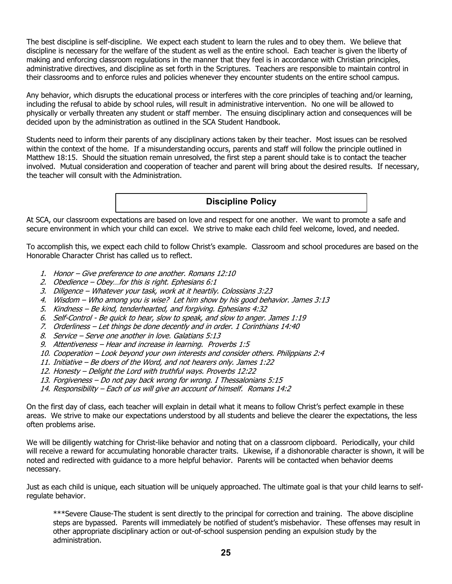The best discipline is self-discipline. We expect each student to learn the rules and to obey them. We believe that discipline is necessary for the welfare of the student as well as the entire school. Each teacher is given the liberty of making and enforcing classroom regulations in the manner that they feel is in accordance with Christian principles, administrative directives, and discipline as set forth in the Scriptures. Teachers are responsible to maintain control in their classrooms and to enforce rules and policies whenever they encounter students on the entire school campus.

Any behavior, which disrupts the educational process or interferes with the core principles of teaching and/or learning, including the refusal to abide by school rules, will result in administrative intervention. No one will be allowed to physically or verbally threaten any student or staff member. The ensuing disciplinary action and consequences will be decided upon by the administration as outlined in the SCA Student Handbook.

Students need to inform their parents of any disciplinary actions taken by their teacher. Most issues can be resolved within the context of the home. If a misunderstanding occurs, parents and staff will follow the principle outlined in Matthew 18:15. Should the situation remain unresolved, the first step a parent should take is to contact the teacher involved. Mutual consideration and cooperation of teacher and parent will bring about the desired results. If necessary, the teacher will consult with the Administration.

**Discipline Policy**

At SCA, our classroom expectations are based on love and respect for one another. We want to promote a safe and secure environment in which your child can excel. We strive to make each child feel welcome, loved, and needed.

To accomplish this, we expect each child to follow Christ's example. Classroom and school procedures are based on the Honorable Character Christ has called us to reflect.

- 1. Honor Give preference to one another. Romans 12:10
- 2. Obedience Obey…for this is right. Ephesians 6:1
- 3. Diligence Whatever your task, work at it heartily. Colossians 3:23
- 4. Wisdom Who among you is wise? Let him show by his good behavior. James 3:13
- 5. Kindness Be kind, tenderhearted, and forgiving. Ephesians 4:32
- 6. Self-Control Be quick to hear, slow to speak, and slow to anger. James 1:19
- 7. Orderliness Let things be done decently and in order. 1 Corinthians 14:40
- 8. Service Serve one another in love. Galatians 5:13
- 9. Attentiveness Hear and increase in learning. Proverbs 1:5
- 10. Cooperation Look beyond your own interests and consider others. Philippians 2:4
- 11. Initiative Be doers of the Word, and not hearers only. James 1:22
- 12. Honesty Delight the Lord with truthful ways. Proverbs 12:22
- 13. Forgiveness Do not pay back wrong for wrong. I Thessalonians 5:15
- 14. Responsibility Each of us will give an account of himself. Romans 14:2

On the first day of class, each teacher will explain in detail what it means to follow Christ's perfect example in these areas. We strive to make our expectations understood by all students and believe the clearer the expectations, the less often problems arise.

We will be diligently watching for Christ-like behavior and noting that on a classroom clipboard. Periodically, your child will receive a reward for accumulating honorable character traits. Likewise, if a dishonorable character is shown, it will be noted and redirected with guidance to a more helpful behavior. Parents will be contacted when behavior deems necessary.

Just as each child is unique, each situation will be uniquely approached. The ultimate goal is that your child learns to selfregulate behavior.

\*\*\*Severe Clause-The student is sent directly to the principal for correction and training. The above discipline steps are bypassed. Parents will immediately be notified of student's misbehavior. These offenses may result in other appropriate disciplinary action or out-of-school suspension pending an expulsion study by the administration.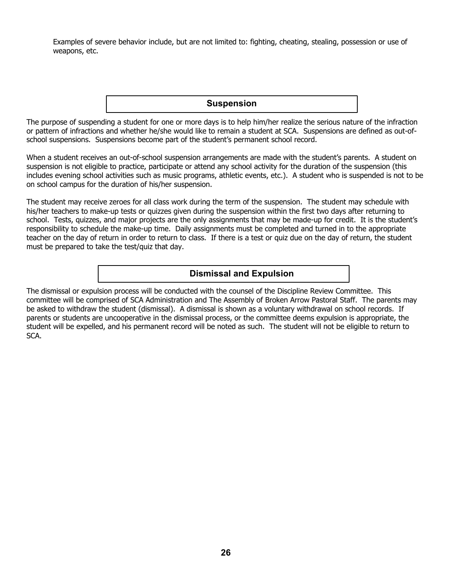Examples of severe behavior include, but are not limited to: fighting, cheating, stealing, possession or use of weapons, etc.

**Suspension**

The purpose of suspending a student for one or more days is to help him/her realize the serious nature of the infraction or pattern of infractions and whether he/she would like to remain a student at SCA. Suspensions are defined as out-ofschool suspensions. Suspensions become part of the student's permanent school record.

When a student receives an out-of-school suspension arrangements are made with the student's parents. A student on suspension is not eligible to practice, participate or attend any school activity for the duration of the suspension (this includes evening school activities such as music programs, athletic events, etc.). A student who is suspended is not to be on school campus for the duration of his/her suspension.

The student may receive zeroes for all class work during the term of the suspension. The student may schedule with his/her teachers to make-up tests or quizzes given during the suspension within the first two days after returning to school. Tests, quizzes, and major projects are the only assignments that may be made-up for credit. It is the student's responsibility to schedule the make-up time. Daily assignments must be completed and turned in to the appropriate teacher on the day of return in order to return to class. If there is a test or quiz due on the day of return, the student must be prepared to take the test/quiz that day.

## **Dismissal and Expulsion**

The dismissal or expulsion process will be conducted with the counsel of the Discipline Review Committee. This committee will be comprised of SCA Administration and The Assembly of Broken Arrow Pastoral Staff. The parents may be asked to withdraw the student (dismissal). A dismissal is shown as a voluntary withdrawal on school records. If parents or students are uncooperative in the dismissal process, or the committee deems expulsion is appropriate, the student will be expelled, and his permanent record will be noted as such. The student will not be eligible to return to SCA.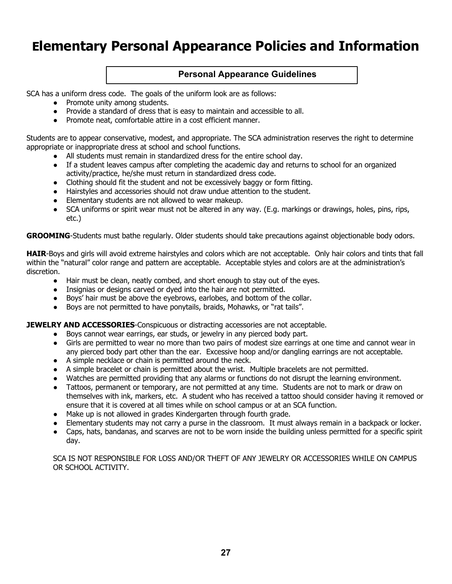# **Elementary Personal Appearance Policies and Information**

## **Personal Appearance Guidelines**

SCA has a uniform dress code. The goals of the uniform look are as follows:

- Promote unity among students.
- Provide a standard of dress that is easy to maintain and accessible to all.
- Promote neat, comfortable attire in a cost efficient manner.

Students are to appear conservative, modest, and appropriate. The SCA administration reserves the right to determine appropriate or inappropriate dress at school and school functions.

- All students must remain in standardized dress for the entire school day.
- If a student leaves campus after completing the academic day and returns to school for an organized activity/practice, he/she must return in standardized dress code.
- Clothing should fit the student and not be excessively baggy or form fitting.
- Hairstyles and accessories should not draw undue attention to the student.
- Elementary students are not allowed to wear makeup.
- SCA uniforms or spirit wear must not be altered in any way. (E.g. markings or drawings, holes, pins, rips, etc.)

**GROOMING**-Students must bathe regularly. Older students should take precautions against objectionable body odors.

**HAIR**-Boys and girls will avoid extreme hairstyles and colors which are not acceptable. Only hair colors and tints that fall within the "natural" color range and pattern are acceptable. Acceptable styles and colors are at the administration's discretion.

- Hair must be clean, neatly combed, and short enough to stay out of the eyes.
- Insignias or designs carved or dyed into the hair are not permitted.
- Boys' hair must be above the eyebrows, earlobes, and bottom of the collar.
- Boys are not permitted to have ponytails, braids, Mohawks, or "rat tails".

**JEWELRY AND ACCESSORIES**-Conspicuous or distracting accessories are not acceptable.

- Boys cannot wear earrings, ear studs, or jewelry in any pierced body part.
- Girls are permitted to wear no more than two pairs of modest size earrings at one time and cannot wear in any pierced body part other than the ear. Excessive hoop and/or dangling earrings are not acceptable.
- A simple necklace or chain is permitted around the neck.
- A simple bracelet or chain is permitted about the wrist. Multiple bracelets are not permitted.
- Watches are permitted providing that any alarms or functions do not disrupt the learning environment.
- Tattoos, permanent or temporary, are not permitted at any time. Students are not to mark or draw on themselves with ink, markers, etc. A student who has received a tattoo should consider having it removed or ensure that it is covered at all times while on school campus or at an SCA function.
- Make up is not allowed in grades Kindergarten through fourth grade.
- Elementary students may not carry a purse in the classroom. It must always remain in a backpack or locker.
- Caps, hats, bandanas, and scarves are not to be worn inside the building unless permitted for a specific spirit day.

SCA IS NOT RESPONSIBLE FOR LOSS AND/OR THEFT OF ANY JEWELRY OR ACCESSORIES WHILE ON CAMPUS OR SCHOOL ACTIVITY.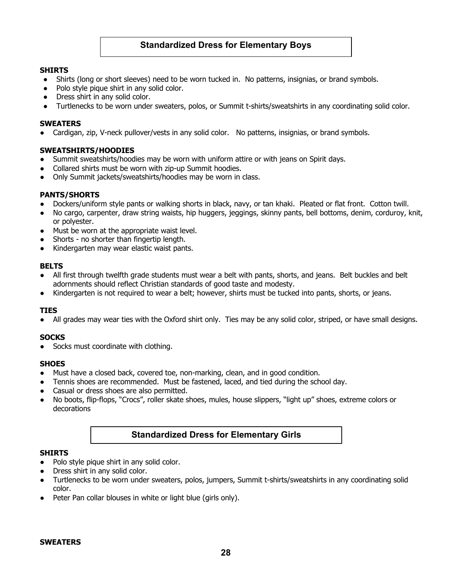## **Standardized Dress for Elementary Boys**

#### **SHIRTS**

- Shirts (long or short sleeves) need to be worn tucked in. No patterns, insignias, or brand symbols.
- Polo style pique shirt in any solid color.
- Dress shirt in any solid color.
- Turtlenecks to be worn under sweaters, polos, or Summit t-shirts/sweatshirts in any coordinating solid color.

#### **SWEATERS**

● Cardigan, zip, V-neck pullover/vests in any solid color. No patterns, insignias, or brand symbols.

#### **SWEATSHIRTS/HOODIES**

- Summit sweatshirts/hoodies may be worn with uniform attire or with jeans on Spirit days.
- Collared shirts must be worn with zip-up Summit hoodies.
- Only Summit jackets/sweatshirts/hoodies may be worn in class.

#### **PANTS/SHORTS**

- Dockers/uniform style pants or walking shorts in black, navy, or tan khaki. Pleated or flat front. Cotton twill.
- No cargo, carpenter, draw string waists, hip huggers, jeggings, skinny pants, bell bottoms, denim, corduroy, knit, or polyester.
- Must be worn at the appropriate waist level.
- Shorts no shorter than fingertip length.
- Kindergarten may wear elastic waist pants.

#### **BELTS**

- All first through twelfth grade students must wear a belt with pants, shorts, and jeans. Belt buckles and belt adornments should reflect Christian standards of good taste and modesty.
- Kindergarten is not required to wear a belt; however, shirts must be tucked into pants, shorts, or jeans.

#### **TIES**

All grades may wear ties with the Oxford shirt only. Ties may be any solid color, striped, or have small designs.

#### **SOCKS**

● Socks must coordinate with clothing.

#### **SHOES**

- Must have a closed back, covered toe, non-marking, clean, and in good condition.
- Tennis shoes are recommended. Must be fastened, laced, and tied during the school day.
- Casual or dress shoes are also permitted.
- No boots, flip-flops, "Crocs", roller skate shoes, mules, house slippers, "light up" shoes, extreme colors or decorations

## **Standardized Dress for Elementary Girls**

#### **SHIRTS**

- Polo style pique shirt in any solid color.
- Dress shirt in any solid color.
- Turtlenecks to be worn under sweaters, polos, jumpers, Summit t-shirts/sweatshirts in any coordinating solid color.
- Peter Pan collar blouses in white or light blue (girls only).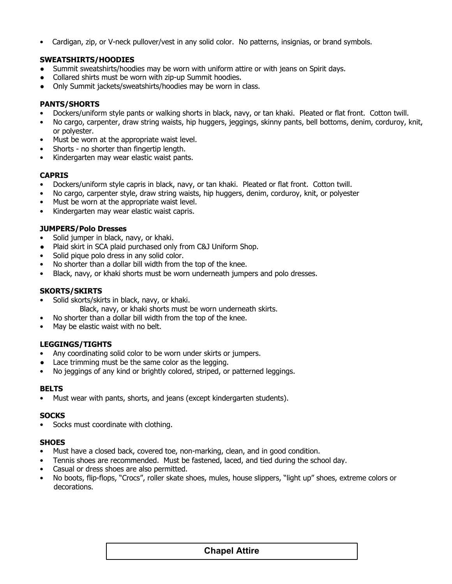• Cardigan, zip, or V-neck pullover/vest in any solid color. No patterns, insignias, or brand symbols.

#### **SWEATSHIRTS/HOODIES**

- Summit sweatshirts/hoodies may be worn with uniform attire or with jeans on Spirit days.
- Collared shirts must be worn with zip-up Summit hoodies.
- Only Summit jackets/sweatshirts/hoodies may be worn in class.

### **PANTS/SHORTS**

- Dockers/uniform style pants or walking shorts in black, navy, or tan khaki. Pleated or flat front. Cotton twill.
- No cargo, carpenter, draw string waists, hip huggers, jeggings, skinny pants, bell bottoms, denim, corduroy, knit, or polyester.
- Must be worn at the appropriate waist level.
- Shorts no shorter than fingertip length.
- Kindergarten may wear elastic waist pants.

### **CAPRIS**

- Dockers/uniform style capris in black, navy, or tan khaki. Pleated or flat front. Cotton twill.
- No cargo, carpenter style, draw string waists, hip huggers, denim, corduroy, knit, or polyester
- Must be worn at the appropriate waist level.
- Kindergarten may wear elastic waist capris.

#### **JUMPERS/Polo Dresses**

- Solid jumper in black, navy, or khaki.
- Plaid skirt in SCA plaid purchased only from C&J Uniform Shop.
- Solid pique polo dress in any solid color.
- No shorter than a dollar bill width from the top of the knee.
- Black, navy, or khaki shorts must be worn underneath jumpers and polo dresses.

#### **SKORTS/SKIRTS**

- Solid skorts/skirts in black, navy, or khaki.
	- Black, navy, or khaki shorts must be worn underneath skirts.
- No shorter than a dollar bill width from the top of the knee.
- May be elastic waist with no belt.

#### **LEGGINGS/TIGHTS**

- Any coordinating solid color to be worn under skirts or jumpers.
- Lace trimming must be the same color as the legging.
- No jeggings of any kind or brightly colored, striped, or patterned leggings.

#### **BELTS**

• Must wear with pants, shorts, and jeans (except kindergarten students).

#### **SOCKS**

• Socks must coordinate with clothing.

#### **SHOES**

- Must have a closed back, covered toe, non-marking, clean, and in good condition.
- Tennis shoes are recommended. Must be fastened, laced, and tied during the school day.
- Casual or dress shoes are also permitted.
- No boots, flip-flops, "Crocs", roller skate shoes, mules, house slippers, "light up" shoes, extreme colors or decorations.

# **29 Chapel Attire**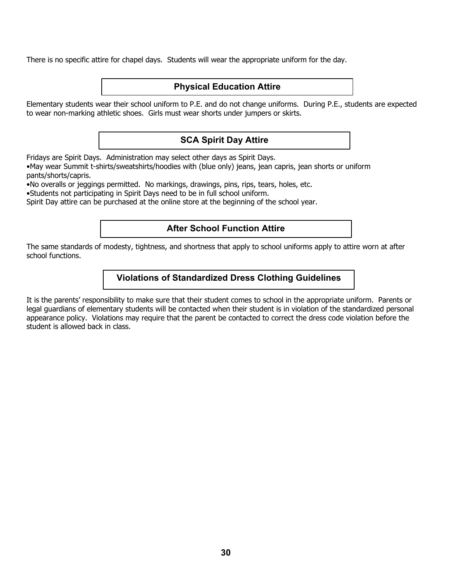There is no specific attire for chapel days. Students will wear the appropriate uniform for the day.

## **Physical Education Attire**

Elementary students wear their school uniform to P.E. and do not change uniforms. During P.E., students are expected to wear non-marking athletic shoes. Girls must wear shorts under jumpers or skirts.

# **SCA Spirit Day Attire**

Fridays are Spirit Days. Administration may select other days as Spirit Days.

•May wear Summit t-shirts/sweatshirts/hoodies with (blue only) jeans, jean capris, jean shorts or uniform pants/shorts/capris.

•No overalls or jeggings permitted. No markings, drawings, pins, rips, tears, holes, etc.

•Students not participating in Spirit Days need to be in full school uniform.

Spirit Day attire can be purchased at the online store at the beginning of the school year.

## **After School Function Attire**

The same standards of modesty, tightness, and shortness that apply to school uniforms apply to attire worn at after school functions.

## **Violations of Standardized Dress Clothing Guidelines**

It is the parents' responsibility to make sure that their student comes to school in the appropriate uniform. Parents or legal guardians of elementary students will be contacted when their student is in violation of the standardized personal appearance policy. Violations may require that the parent be contacted to correct the dress code violation before the student is allowed back in class.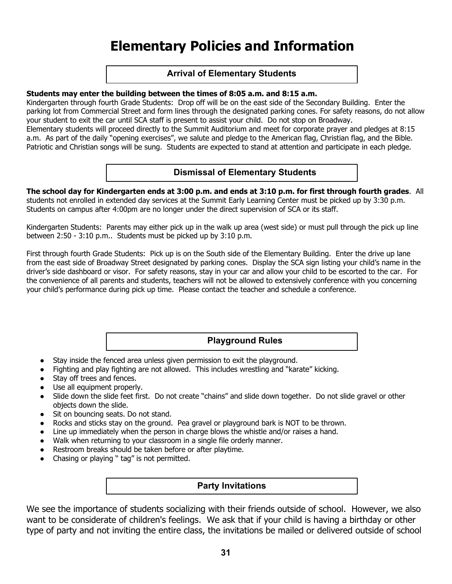# **Elementary Policies and Information**

## **Arrival of Elementary Students**

#### **Students may enter the building between the times of 8:05 a.m. and 8:15 a.m.**

Kindergarten through fourth Grade Students: Drop off will be on the east side of the Secondary Building. Enter the parking lot from Commercial Street and form lines through the designated parking cones. For safety reasons, do not allow your student to exit the car until SCA staff is present to assist your child. Do not stop on Broadway. Elementary students will proceed directly to the Summit Auditorium and meet for corporate prayer and pledges at 8:15

a.m. As part of the daily "opening exercises", we salute and pledge to the American flag, Christian flag, and the Bible. Patriotic and Christian songs will be sung. Students are expected to stand at attention and participate in each pledge.

## **Dismissal of Elementary Students**

**The school day for Kindergarten ends at 3:00 p.m. and ends at 3:10 p.m. for first through fourth grades**. All students not enrolled in extended day services at the Summit Early Learning Center must be picked up by 3:30 p.m. Students on campus after 4:00pm are no longer under the direct supervision of SCA or its staff.

Kindergarten Students: Parents may either pick up in the walk up area (west side) or must pull through the pick up line between 2:50 - 3:10 p.m.. Students must be picked up by 3:10 p.m.

First through fourth Grade Students: Pick up is on the South side of the Elementary Building. Enter the drive up lane from the east side of Broadway Street designated by parking cones. Display the SCA sign listing your child's name in the driver's side dashboard or visor. For safety reasons, stay in your car and allow your child to be escorted to the car. For the convenience of all parents and students, teachers will not be allowed to extensively conference with you concerning your child's performance during pick up time. Please contact the teacher and schedule a conference.

# **Playground Rules**

- Stay inside the fenced area unless given permission to exit the playground.
- Fighting and play fighting are not allowed. This includes wrestling and "karate" kicking.
- Stay off trees and fences.
- Use all equipment properly.
- Slide down the slide feet first. Do not create "chains" and slide down together. Do not slide gravel or other objects down the slide.
- Sit on bouncing seats. Do not stand.
- Rocks and sticks stay on the ground. Pea gravel or playground bark is NOT to be thrown.
- Line up immediately when the person in charge blows the whistle and/or raises a hand.
- Walk when returning to your classroom in a single file orderly manner.
- Restroom breaks should be taken before or after playtime.
- Chasing or playing " tag" is not permitted.

## **Party Invitations**

We see the importance of students socializing with their friends outside of school. However, we also want to be considerate of children's feelings. We ask that if your child is having a birthday or other type of party and not inviting the entire class, the invitations be mailed or delivered outside of school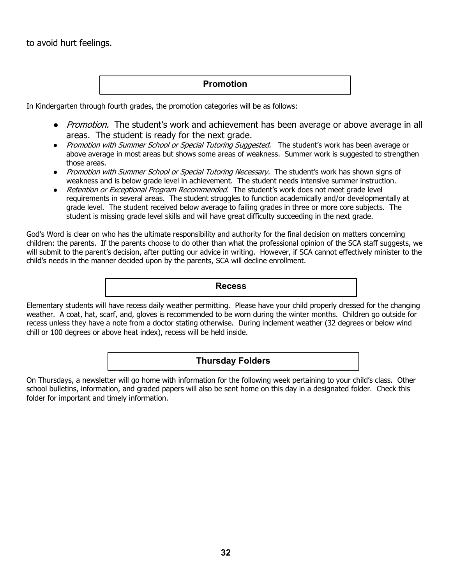to avoid hurt feelings.

## **Promotion**

In Kindergarten through fourth grades, the promotion categories will be as follows:

- Promotion. The student's work and achievement has been average or above average in all areas. The student is ready for the next grade.
- Promotion with Summer School or Special Tutoring Suggested. The student's work has been average or above average in most areas but shows some areas of weakness. Summer work is suggested to strengthen those areas.
- Promotion with Summer School or Special Tutoring Necessary. The student's work has shown signs of weakness and is below grade level in achievement. The student needs intensive summer instruction.
- Retention or Exceptional Program Recommended. The student's work does not meet grade level requirements in several areas. The student struggles to function academically and/or developmentally at grade level. The student received below average to failing grades in three or more core subjects. The student is missing grade level skills and will have great difficulty succeeding in the next grade.

God's Word is clear on who has the ultimate responsibility and authority for the final decision on matters concerning children: the parents. If the parents choose to do other than what the professional opinion of the SCA staff suggests, we will submit to the parent's decision, after putting our advice in writing. However, if SCA cannot effectively minister to the child's needs in the manner decided upon by the parents, SCA will decline enrollment.

**Recess**

Elementary students will have recess daily weather permitting. Please have your child properly dressed for the changing weather. A coat, hat, scarf, and, gloves is recommended to be worn during the winter months. Children go outside for recess unless they have a note from a doctor stating otherwise. During inclement weather (32 degrees or below wind chill or 100 degrees or above heat index), recess will be held inside.

## **Thursday Folders**

On Thursdays, a newsletter will go home with information for the following week pertaining to your child's class. Other school bulletins, information, and graded papers will also be sent home on this day in a designated folder. Check this folder for important and timely information.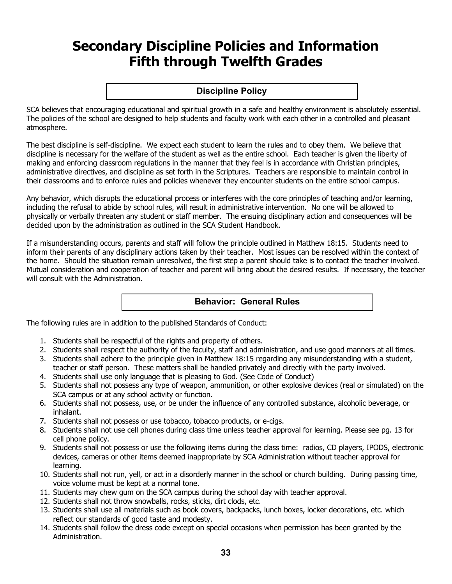# **Secondary Discipline Policies and Information Fifth through Twelfth Grades**

**Discipline Policy**

SCA believes that encouraging educational and spiritual growth in a safe and healthy environment is absolutely essential. The policies of the school are designed to help students and faculty work with each other in a controlled and pleasant atmosphere.

The best discipline is self-discipline. We expect each student to learn the rules and to obey them. We believe that discipline is necessary for the welfare of the student as well as the entire school. Each teacher is given the liberty of making and enforcing classroom regulations in the manner that they feel is in accordance with Christian principles, administrative directives, and discipline as set forth in the Scriptures. Teachers are responsible to maintain control in their classrooms and to enforce rules and policies whenever they encounter students on the entire school campus.

Any behavior, which disrupts the educational process or interferes with the core principles of teaching and/or learning, including the refusal to abide by school rules, will result in administrative intervention. No one will be allowed to physically or verbally threaten any student or staff member. The ensuing disciplinary action and consequences will be decided upon by the administration as outlined in the SCA Student Handbook.

If a misunderstanding occurs, parents and staff will follow the principle outlined in Matthew 18:15. Students need to inform their parents of any disciplinary actions taken by their teacher. Most issues can be resolved within the context of the home. Should the situation remain unresolved, the first step a parent should take is to contact the teacher involved. Mutual consideration and cooperation of teacher and parent will bring about the desired results. If necessary, the teacher will consult with the Administration.

## **Behavior: General Rules**

The following rules are in addition to the published Standards of Conduct:

- 1. Students shall be respectful of the rights and property of others.
- 2. Students shall respect the authority of the faculty, staff and administration, and use good manners at all times.
- 3. Students shall adhere to the principle given in Matthew 18:15 regarding any misunderstanding with a student, teacher or staff person. These matters shall be handled privately and directly with the party involved.
- 4. Students shall use only language that is pleasing to God. (See Code of Conduct)
- 5. Students shall not possess any type of weapon, ammunition, or other explosive devices (real or simulated) on the SCA campus or at any school activity or function.
- 6. Students shall not possess, use, or be under the influence of any controlled substance, alcoholic beverage, or inhalant.
- 7. Students shall not possess or use tobacco, tobacco products, or e-cigs.
- 8. Students shall not use cell phones during class time unless teacher approval for learning. Please see pg. 13 for cell phone policy.
- 9. Students shall not possess or use the following items during the class time: radios, CD players, IPODS, electronic devices, cameras or other items deemed inappropriate by SCA Administration without teacher approval for learning.
- 10. Students shall not run, yell, or act in a disorderly manner in the school or church building. During passing time, voice volume must be kept at a normal tone.
- 11. Students may chew gum on the SCA campus during the school day with teacher approval.
- 12. Students shall not throw snowballs, rocks, sticks, dirt clods, etc.
- 13. Students shall use all materials such as book covers, backpacks, lunch boxes, locker decorations, etc. which reflect our standards of good taste and modesty.
- 14. Students shall follow the dress code except on special occasions when permission has been granted by the Administration.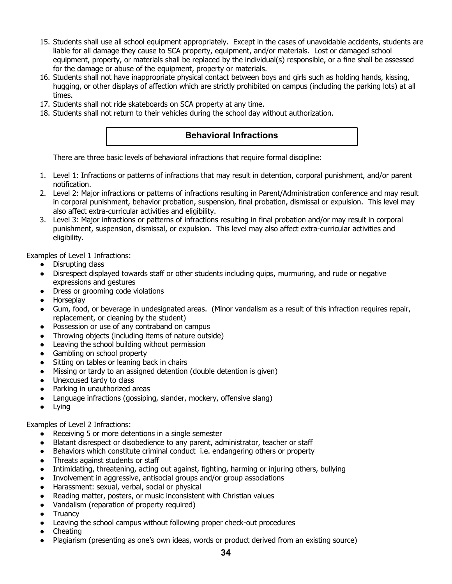- 15. Students shall use all school equipment appropriately. Except in the cases of unavoidable accidents, students are liable for all damage they cause to SCA property, equipment, and/or materials. Lost or damaged school equipment, property, or materials shall be replaced by the individual(s) responsible, or a fine shall be assessed for the damage or abuse of the equipment, property or materials.
- 16. Students shall not have inappropriate physical contact between boys and girls such as holding hands, kissing, hugging, or other displays of affection which are strictly prohibited on campus (including the parking lots) at all times.
- 17. Students shall not ride skateboards on SCA property at any time.
- 18. Students shall not return to their vehicles during the school day without authorization.

## **Behavioral Infractions**

There are three basic levels of behavioral infractions that require formal discipline:

- 1. Level 1: Infractions or patterns of infractions that may result in detention, corporal punishment, and/or parent notification.
- 2. Level 2: Major infractions or patterns of infractions resulting in Parent/Administration conference and may result in corporal punishment, behavior probation, suspension, final probation, dismissal or expulsion. This level may also affect extra-curricular activities and eligibility.
- 3. Level 3: Major infractions or patterns of infractions resulting in final probation and/or may result in corporal punishment, suspension, dismissal, or expulsion. This level may also affect extra-curricular activities and eligibility.

Examples of Level 1 Infractions:

- Disrupting class
- Disrespect displayed towards staff or other students including quips, murmuring, and rude or negative expressions and gestures
- Dress or grooming code violations
- **Horseplay**
- Gum, food, or beverage in undesignated areas. (Minor vandalism as a result of this infraction requires repair, replacement, or cleaning by the student)
- Possession or use of any contraband on campus
- Throwing objects (including items of nature outside)
- Leaving the school building without permission
- Gambling on school property
- Sitting on tables or leaning back in chairs
- Missing or tardy to an assigned detention (double detention is given)
- Unexcused tardy to class
- Parking in unauthorized areas
- Language infractions (gossiping, slander, mockery, offensive slang)
- Lying

#### Examples of Level 2 Infractions:

- Receiving 5 or more detentions in a single semester
- Blatant disrespect or disobedience to any parent, administrator, teacher or staff
- Behaviors which constitute criminal conduct i.e. endangering others or property
- Threats against students or staff
- Intimidating, threatening, acting out against, fighting, harming or injuring others, bullying
- Involvement in aggressive, antisocial groups and/or group associations
- Harassment: sexual, verbal, social or physical
- Reading matter, posters, or music inconsistent with Christian values
- Vandalism (reparation of property required)
- **Truancy**
- Leaving the school campus without following proper check-out procedures
- Cheating
- Plagiarism (presenting as one's own ideas, words or product derived from an existing source)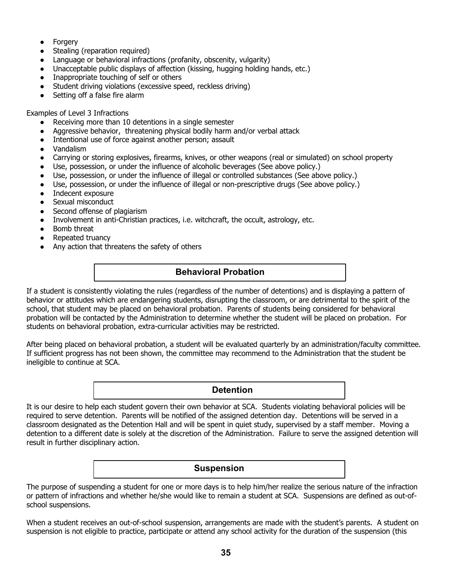- Forgery
- Stealing (reparation required)
- Language or behavioral infractions (profanity, obscenity, vulgarity)
- Unacceptable public displays of affection (kissing, hugging holding hands, etc.)
- Inappropriate touching of self or others
- Student driving violations (excessive speed, reckless driving)
- Setting off a false fire alarm

Examples of Level 3 Infractions

- Receiving more than 10 detentions in a single semester
- Aggressive behavior, threatening physical bodily harm and/or verbal attack
- Intentional use of force against another person; assault
- **Vandalism**
- Carrying or storing explosives, firearms, knives, or other weapons (real or simulated) on school property
- Use, possession, or under the influence of alcoholic beverages (See above policy.)
- Use, possession, or under the influence of illegal or controlled substances (See above policy.)
- Use, possession, or under the influence of illegal or non-prescriptive drugs (See above policy.)
- Indecent exposure
- Sexual misconduct
- Second offense of plagiarism
- Involvement in anti-Christian practices, i.e. witchcraft, the occult, astrology, etc.
- Bomb threat
- Repeated truancy
- Any action that threatens the safety of others

# **Behavioral Probation**

If a student is consistently violating the rules (regardless of the number of detentions) and is displaying a pattern of behavior or attitudes which are endangering students, disrupting the classroom, or are detrimental to the spirit of the school, that student may be placed on behavioral probation. Parents of students being considered for behavioral probation will be contacted by the Administration to determine whether the student will be placed on probation. For students on behavioral probation, extra-curricular activities may be restricted.

After being placed on behavioral probation, a student will be evaluated quarterly by an administration/faculty committee. If sufficient progress has not been shown, the committee may recommend to the Administration that the student be ineligible to continue at SCA.

**Detention**

It is our desire to help each student govern their own behavior at SCA. Students violating behavioral policies will be required to serve detention. Parents will be notified of the assigned detention day. Detentions will be served in a classroom designated as the Detention Hall and will be spent in quiet study, supervised by a staff member. Moving a detention to a different date is solely at the discretion of the Administration. Failure to serve the assigned detention will result in further disciplinary action.

## **Suspension**

The purpose of suspending a student for one or more days is to help him/her realize the serious nature of the infraction or pattern of infractions and whether he/she would like to remain a student at SCA. Suspensions are defined as out-ofschool suspensions.

When a student receives an out-of-school suspension, arrangements are made with the student's parents. A student on suspension is not eligible to practice, participate or attend any school activity for the duration of the suspension (this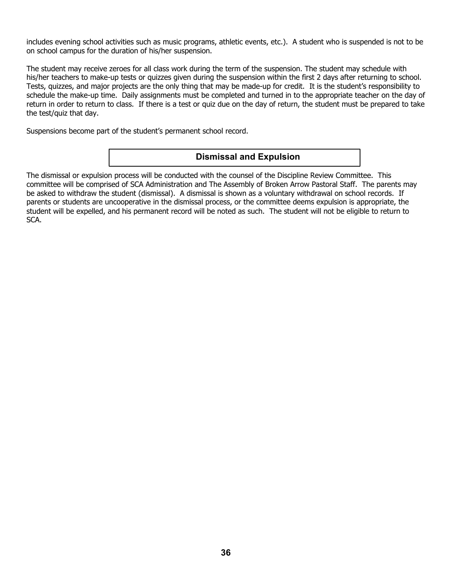includes evening school activities such as music programs, athletic events, etc.). A student who is suspended is not to be on school campus for the duration of his/her suspension.

The student may receive zeroes for all class work during the term of the suspension. The student may schedule with his/her teachers to make-up tests or quizzes given during the suspension within the first 2 days after returning to school. Tests, quizzes, and major projects are the only thing that may be made-up for credit. It is the student's responsibility to schedule the make-up time. Daily assignments must be completed and turned in to the appropriate teacher on the day of return in order to return to class. If there is a test or quiz due on the day of return, the student must be prepared to take the test/quiz that day.

Suspensions become part of the student's permanent school record.

## **Dismissal and Expulsion**

The dismissal or expulsion process will be conducted with the counsel of the Discipline Review Committee. This committee will be comprised of SCA Administration and The Assembly of Broken Arrow Pastoral Staff. The parents may be asked to withdraw the student (dismissal). A dismissal is shown as a voluntary withdrawal on school records. If parents or students are uncooperative in the dismissal process, or the committee deems expulsion is appropriate, the student will be expelled, and his permanent record will be noted as such. The student will not be eligible to return to SCA.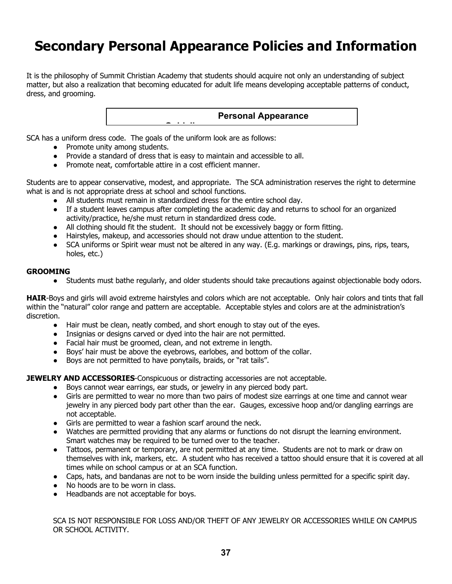# **Secondary Personal Appearance Policies and Information**

It is the philosophy of Summit Christian Academy that students should acquire not only an understanding of subject matter, but also a realization that becoming educated for adult life means developing acceptable patterns of conduct, dress, and grooming.

**Personal Appearance** 

SCA has a uniform dress code. The goals of the uniform look are as follows:

- Promote unity among students.
- Provide a standard of dress that is easy to maintain and accessible to all.

**Guidelines**

● Promote neat, comfortable attire in a cost efficient manner.

Students are to appear conservative, modest, and appropriate. The SCA administration reserves the right to determine what is and is not appropriate dress at school and school functions.

- All students must remain in standardized dress for the entire school day.
- If a student leaves campus after completing the academic day and returns to school for an organized activity/practice, he/she must return in standardized dress code.
- All clothing should fit the student. It should not be excessively baggy or form fitting.
- Hairstyles, makeup, and accessories should not draw undue attention to the student.
- SCA uniforms or Spirit wear must not be altered in any way. (E.g. markings or drawings, pins, rips, tears, holes, etc.)

#### **GROOMING**

● Students must bathe regularly, and older students should take precautions against objectionable body odors.

**HAIR**-Boys and girls will avoid extreme hairstyles and colors which are not acceptable. Only hair colors and tints that fall within the "natural" color range and pattern are acceptable. Acceptable styles and colors are at the administration's discretion.

- Hair must be clean, neatly combed, and short enough to stay out of the eyes.
- Insignias or designs carved or dyed into the hair are not permitted.
- Facial hair must be groomed, clean, and not extreme in length.
- Boys' hair must be above the eyebrows, earlobes, and bottom of the collar.
- Boys are not permitted to have ponytails, braids, or "rat tails".

**JEWELRY AND ACCESSORIES**-Conspicuous or distracting accessories are not acceptable.

- Boys cannot wear earrings, ear studs, or jewelry in any pierced body part.
- Girls are permitted to wear no more than two pairs of modest size earrings at one time and cannot wear jewelry in any pierced body part other than the ear. Gauges, excessive hoop and/or dangling earrings are not acceptable.
- Girls are permitted to wear a fashion scarf around the neck.
- Watches are permitted providing that any alarms or functions do not disrupt the learning environment. Smart watches may be required to be turned over to the teacher.
- Tattoos, permanent or temporary, are not permitted at any time. Students are not to mark or draw on themselves with ink, markers, etc. A student who has received a tattoo should ensure that it is covered at all times while on school campus or at an SCA function.
- Caps, hats, and bandanas are not to be worn inside the building unless permitted for a specific spirit day.
- No hoods are to be worn in class.
- Headbands are not acceptable for boys.

SCA IS NOT RESPONSIBLE FOR LOSS AND/OR THEFT OF ANY JEWELRY OR ACCESSORIES WHILE ON CAMPUS OR SCHOOL ACTIVITY.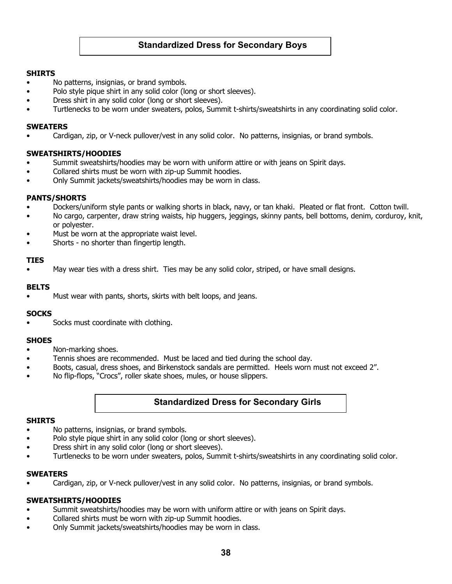# **Standardized Dress for Secondary Boys**

#### **SHIRTS**

- No patterns, insignias, or brand symbols.
- Polo style pique shirt in any solid color (long or short sleeves).
- Dress shirt in any solid color (long or short sleeves).
- Turtlenecks to be worn under sweaters, polos, Summit t-shirts/sweatshirts in any coordinating solid color.

#### **SWEATERS**

• Cardigan, zip, or V-neck pullover/vest in any solid color. No patterns, insignias, or brand symbols.

### **SWEATSHIRTS/HOODIES**

- Summit sweatshirts/hoodies may be worn with uniform attire or with jeans on Spirit days.
- Collared shirts must be worn with zip-up Summit hoodies.
- Only Summit jackets/sweatshirts/hoodies may be worn in class.

#### **PANTS/SHORTS**

- Dockers/uniform style pants or walking shorts in black, navy, or tan khaki. Pleated or flat front. Cotton twill.
- No cargo, carpenter, draw string waists, hip huggers, jeggings, skinny pants, bell bottoms, denim, corduroy, knit, or polyester.
- Must be worn at the appropriate waist level.
- Shorts no shorter than fingertip length.

#### **TIES**

• May wear ties with a dress shirt. Ties may be any solid color, striped, or have small designs.

#### **BELTS**

Must wear with pants, shorts, skirts with belt loops, and jeans.

#### **SOCKS**

Socks must coordinate with clothing.

#### **SHOES**

- Non-marking shoes.
- Tennis shoes are recommended. Must be laced and tied during the school day.
- Boots, casual, dress shoes, and Birkenstock sandals are permitted. Heels worn must not exceed 2".
- No flip-flops, "Crocs", roller skate shoes, mules, or house slippers.

## **Standardized Dress for Secondary Girls**

#### **SHIRTS**

- No patterns, insignias, or brand symbols.
- Polo style pique shirt in any solid color (long or short sleeves).
- Dress shirt in any solid color (long or short sleeves).
- Turtlenecks to be worn under sweaters, polos, Summit t-shirts/sweatshirts in any coordinating solid color.

#### **SWEATERS**

• Cardigan, zip, or V-neck pullover/vest in any solid color. No patterns, insignias, or brand symbols.

#### **SWEATSHIRTS/HOODIES**

- Summit sweatshirts/hoodies may be worn with uniform attire or with jeans on Spirit days.
- Collared shirts must be worn with zip-up Summit hoodies.
- Only Summit jackets/sweatshirts/hoodies may be worn in class.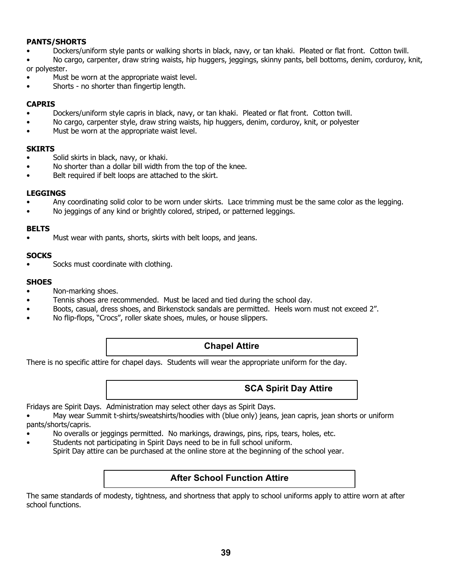### **PANTS/SHORTS**

• Dockers/uniform style pants or walking shorts in black, navy, or tan khaki. Pleated or flat front. Cotton twill.

• No cargo, carpenter, draw string waists, hip huggers, jeggings, skinny pants, bell bottoms, denim, corduroy, knit, or polyester.

- Must be worn at the appropriate waist level.
- Shorts no shorter than fingertip length.

#### **CAPRIS**

- Dockers/uniform style capris in black, navy, or tan khaki. Pleated or flat front. Cotton twill.
- No cargo, carpenter style, draw string waists, hip huggers, denim, corduroy, knit, or polyester
- Must be worn at the appropriate waist level.

#### **SKIRTS**

- Solid skirts in black, navy, or khaki.
- No shorter than a dollar bill width from the top of the knee.
- Belt required if belt loops are attached to the skirt.

#### **LEGGINGS**

- Any coordinating solid color to be worn under skirts. Lace trimming must be the same color as the legging.
- No jeggings of any kind or brightly colored, striped, or patterned leggings.

#### **BELTS**

• Must wear with pants, shorts, skirts with belt loops, and jeans.

#### **SOCKS**

Socks must coordinate with clothing.

#### **SHOES**

- Non-marking shoes.
- Tennis shoes are recommended. Must be laced and tied during the school day.
- Boots, casual, dress shoes, and Birkenstock sandals are permitted. Heels worn must not exceed 2".
- No flip-flops, "Crocs", roller skate shoes, mules, or house slippers.

## **Chapel Attire**

There is no specific attire for chapel days. Students will wear the appropriate uniform for the day.

## **SCA Spirit Day Attire**

Fridays are Spirit Days. Administration may select other days as Spirit Days.

• May wear Summit t-shirts/sweatshirts/hoodies with (blue only) jeans, jean capris, jean shorts or uniform pants/shorts/capris.

- No overalls or jeggings permitted. No markings, drawings, pins, rips, tears, holes, etc.
- Students not participating in Spirit Days need to be in full school uniform. Spirit Day attire can be purchased at the online store at the beginning of the school year.

## **After School Function Attire**

The same standards of modesty, tightness, and shortness that apply to school uniforms apply to attire worn at after school functions.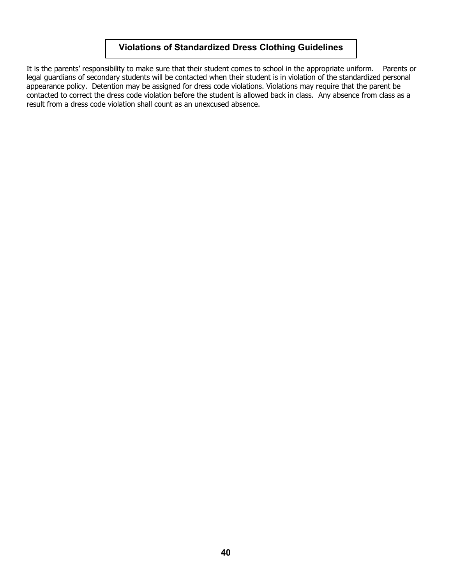# **Violations of Standardized Dress Clothing Guidelines**

It is the parents' responsibility to make sure that their student comes to school in the appropriate uniform. Parents or legal guardians of secondary students will be contacted when their student is in violation of the standardized personal appearance policy. Detention may be assigned for dress code violations. Violations may require that the parent be contacted to correct the dress code violation before the student is allowed back in class. Any absence from class as a result from a dress code violation shall count as an unexcused absence.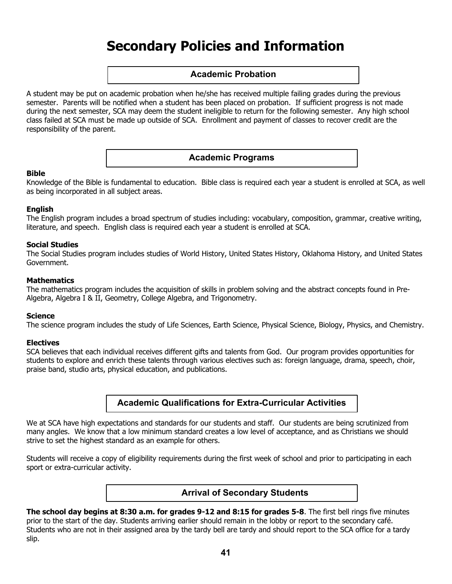# **Secondary Policies and Information**

## **Academic Probation**

A student may be put on academic probation when he/she has received multiple failing grades during the previous semester. Parents will be notified when a student has been placed on probation. If sufficient progress is not made during the next semester, SCA may deem the student ineligible to return for the following semester. Any high school class failed at SCA must be made up outside of SCA. Enrollment and payment of classes to recover credit are the responsibility of the parent.

## **Academic Programs**

#### **Bible**

Knowledge of the Bible is fundamental to education. Bible class is required each year a student is enrolled at SCA, as well as being incorporated in all subject areas.

#### **English**

The English program includes a broad spectrum of studies including: vocabulary, composition, grammar, creative writing, literature, and speech. English class is required each year a student is enrolled at SCA.

#### **Social Studies**

The Social Studies program includes studies of World History, United States History, Oklahoma History, and United States Government.

#### **Mathematics**

The mathematics program includes the acquisition of skills in problem solving and the abstract concepts found in Pre-Algebra, Algebra I & II, Geometry, College Algebra, and Trigonometry.

#### **Science**

The science program includes the study of Life Sciences, Earth Science, Physical Science, Biology, Physics, and Chemistry.

#### **Electives**

SCA believes that each individual receives different gifts and talents from God. Our program provides opportunities for students to explore and enrich these talents through various electives such as: foreign language, drama, speech, choir, praise band, studio arts, physical education, and publications.

# **Academic Qualifications for Extra-Curricular Activities**

We at SCA have high expectations and standards for our students and staff. Our students are being scrutinized from many angles. We know that a low minimum standard creates a low level of acceptance, and as Christians we should strive to set the highest standard as an example for others.

Students will receive a copy of eligibility requirements during the first week of school and prior to participating in each sport or extra-curricular activity.

## **Arrival of Secondary Students**

**The school day begins at 8:30 a.m. for grades 9-12 and 8:15 for grades 5-8**. The first bell rings five minutes prior to the start of the day. Students arriving earlier should remain in the lobby or report to the secondary café. Students who are not in their assigned area by the tardy bell are tardy and should report to the SCA office for a tardy slip.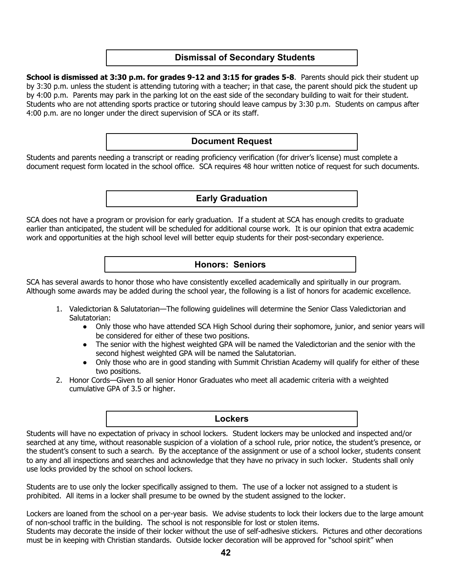## **Dismissal of Secondary Students**

**School is dismissed at 3:30 p.m. for grades 9-12 and 3:15 for grades 5-8**. Parents should pick their student up by 3:30 p.m. unless the student is attending tutoring with a teacher; in that case, the parent should pick the student up by 4:00 p.m. Parents may park in the parking lot on the east side of the secondary building to wait for their student. Students who are not attending sports practice or tutoring should leave campus by 3:30 p.m. Students on campus after 4:00 p.m. are no longer under the direct supervision of SCA or its staff.

## **Document Request**

Students and parents needing a transcript or reading proficiency verification (for driver's license) must complete a document request form located in the school office. SCA requires 48 hour written notice of request for such documents.

## **Early Graduation**

SCA does not have a program or provision for early graduation. If a student at SCA has enough credits to graduate earlier than anticipated, the student will be scheduled for additional course work. It is our opinion that extra academic work and opportunities at the high school level will better equip students for their post-secondary experience.

### **Honors: Seniors**

SCA has several awards to honor those who have consistently excelled academically and spiritually in our program. Although some awards may be added during the school year, the following is a list of honors for academic excellence.

- 1. Valedictorian & Salutatorian—The following guidelines will determine the Senior Class Valedictorian and Salutatorian:
	- Only those who have attended SCA High School during their sophomore, junior, and senior years will be considered for either of these two positions.
	- The senior with the highest weighted GPA will be named the Valedictorian and the senior with the second highest weighted GPA will be named the Salutatorian.
	- Only those who are in good standing with Summit Christian Academy will qualify for either of these two positions.
- 2. Honor Cords—Given to all senior Honor Graduates who meet all academic criteria with a weighted cumulative GPA of 3.5 or higher.

#### **Lockers**

Students will have no expectation of privacy in school lockers. Student lockers may be unlocked and inspected and/or searched at any time, without reasonable suspicion of a violation of a school rule, prior notice, the student's presence, or the student's consent to such a search. By the acceptance of the assignment or use of a school locker, students consent to any and all inspections and searches and acknowledge that they have no privacy in such locker. Students shall only use locks provided by the school on school lockers.

Students are to use only the locker specifically assigned to them. The use of a locker not assigned to a student is prohibited. All items in a locker shall presume to be owned by the student assigned to the locker.

Lockers are loaned from the school on a per-year basis. We advise students to lock their lockers due to the large amount of non-school traffic in the building. The school is not responsible for lost or stolen items. Students may decorate the inside of their locker without the use of self-adhesive stickers. Pictures and other decorations must be in keeping with Christian standards. Outside locker decoration will be approved for "school spirit" when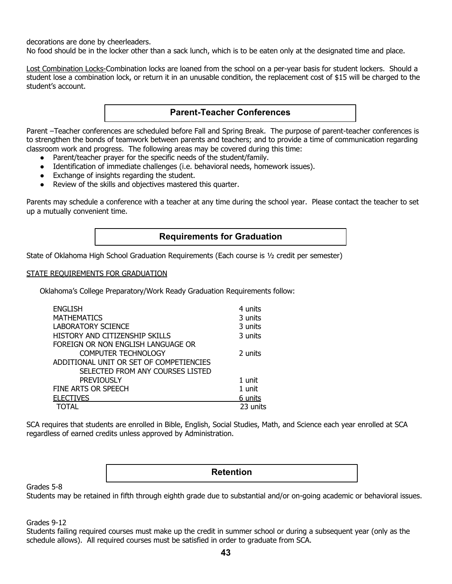decorations are done by cheerleaders.

No food should be in the locker other than a sack lunch, which is to be eaten only at the designated time and place.

Lost Combination Locks-Combination locks are loaned from the school on a per-year basis for student lockers. Should a student lose a combination lock, or return it in an unusable condition, the replacement cost of \$15 will be charged to the student's account.

## **Parent-Teacher Conferences**

Parent –Teacher conferences are scheduled before Fall and Spring Break. The purpose of parent-teacher conferences is to strengthen the bonds of teamwork between parents and teachers; and to provide a time of communication regarding classroom work and progress. The following areas may be covered during this time:

- Parent/teacher prayer for the specific needs of the student/family.
- Identification of immediate challenges (i.e. behavioral needs, homework issues).
- Exchange of insights regarding the student.
- Review of the skills and objectives mastered this quarter.

Parents may schedule a conference with a teacher at any time during the school year. Please contact the teacher to set up a mutually convenient time.

## **Requirements for Graduation**

State of Oklahoma High School Graduation Requirements (Each course is ½ credit per semester)

#### STATE REQUIREMENTS FOR GRADUATION

Oklahoma's College Preparatory/Work Ready Graduation Requirements follow:

| <b>ENGLISH</b>                          | 4 units  |
|-----------------------------------------|----------|
| <b>MATHEMATICS</b>                      | 3 units  |
| <b>LABORATORY SCIENCE</b>               | 3 units  |
| HISTORY AND CITIZENSHIP SKILLS          | 3 units  |
| FOREIGN OR NON ENGLISH LANGUAGE OR      |          |
| <b>COMPUTER TECHNOLOGY</b>              | 2 units  |
| ADDITIONAL UNIT OR SET OF COMPETIENCIES |          |
| SELECTED FROM ANY COURSES LISTED        |          |
| <b>PREVIOUSLY</b>                       | 1 unit   |
| FINE ARTS OR SPEECH                     | 1 unit   |
| <b>ELECTIVES</b>                        | 6 units  |
| TOTAL                                   | 23 units |

SCA requires that students are enrolled in Bible, English, Social Studies, Math, and Science each year enrolled at SCA regardless of earned credits unless approved by Administration.

#### **Retention**

Grades 5-8

Students may be retained in fifth through eighth grade due to substantial and/or on-going academic or behavioral issues.

Grades 9-12

Students failing required courses must make up the credit in summer school or during a subsequent year (only as the schedule allows). All required courses must be satisfied in order to graduate from SCA.